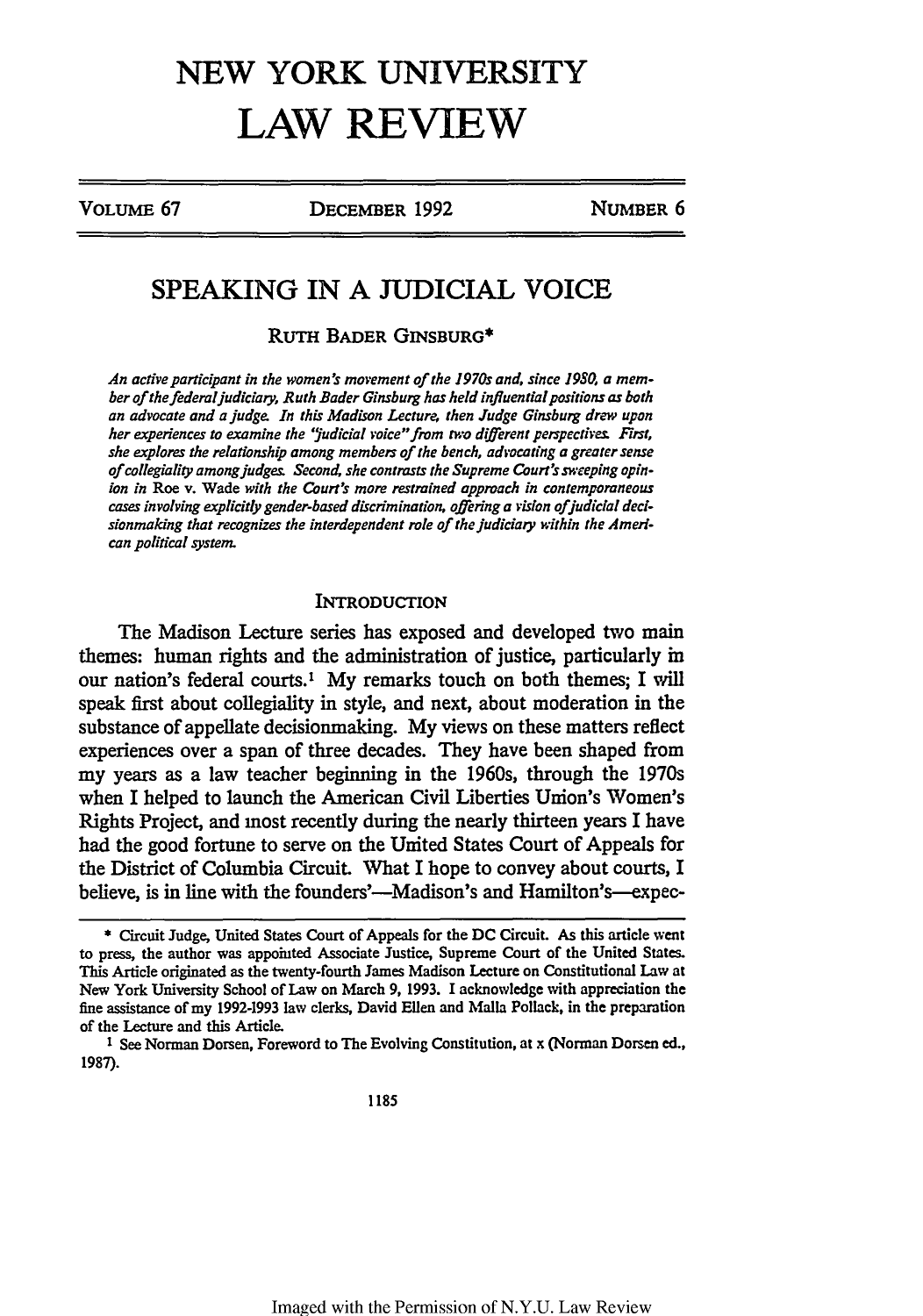# **NEW YORK UNIVERSITY LAW REVIEW**

VOLUME **67** DECEMBER **1992** NUMBER **6**

## SPEAKING IN **A** JUDICIAL VOICE

RUTH BADER **GINSBURG\***

*An active participant in the women's movement of the 1970S and, since* **19SO,** *a member of thefederaljudiciary, Ruth Bader Ginsburg has held influential* positions *as both an advocate and a judge. In this Madison Lecture, then Judge Ginsburg drew upon her experiences to examine the "judicial voice" from two different perspectives. First, she explores the relationship among members of the bench, advocating a greater sense* of collegiality among judges. Second, she contrasts the Supreme Court's sweeping opin*ion in* Roe v. Wade *with the Court's more restrained approach in contemporaneous* cases involving explicitly gender-based discrimination, offering a vision of judicial deci*sionmaking that recognizes the interdependent* role *of the judiciary within the American political system.*

#### **INTRODUCTION**

The Madison Lecture series has exposed and developed two main themes: human rights and the administration of justice, particularly in our nation's federal courts.' My remarks touch on both themes; I will speak first about collegiality in style, and next, about moderation in the substance of appellate decisiomaking. My views on these matters reflect experiences over a span of three decades. They have been shaped from my years as a law teacher beginning in the 1960s, through the 1970s when I helped to launch the American Civil Liberties Union's Women's Rights Project, and most recently during the nearly thirteen years I have had the good fortune to serve on the United States Court of Appeals for the District of Columbia Circuit. What I hope to convey about courts, I believe, is in line with the founders'—Madison's and Hamilton's—expec-

**I** See Norman Dorsen, Foreword to The Evolving Constitution, at x (Norman Dorsen ed., **1987).**

<sup>\*</sup> Circuit Judge, United States Court of Appeals for the **DC** Circuit. As this article went to press, the author was appointed Associate Justice, Supreme Court of the United States. This Article originated as the twenty-fourth James Madison Lecture on Constitutional Law at New York University School of Law on March **9, 1993. 1** acknowledge with appreciation the fine assistance of my 1992-1993 law clerks, David Ellen and Malla Pollack, in the preparation of the Lecture and this Article.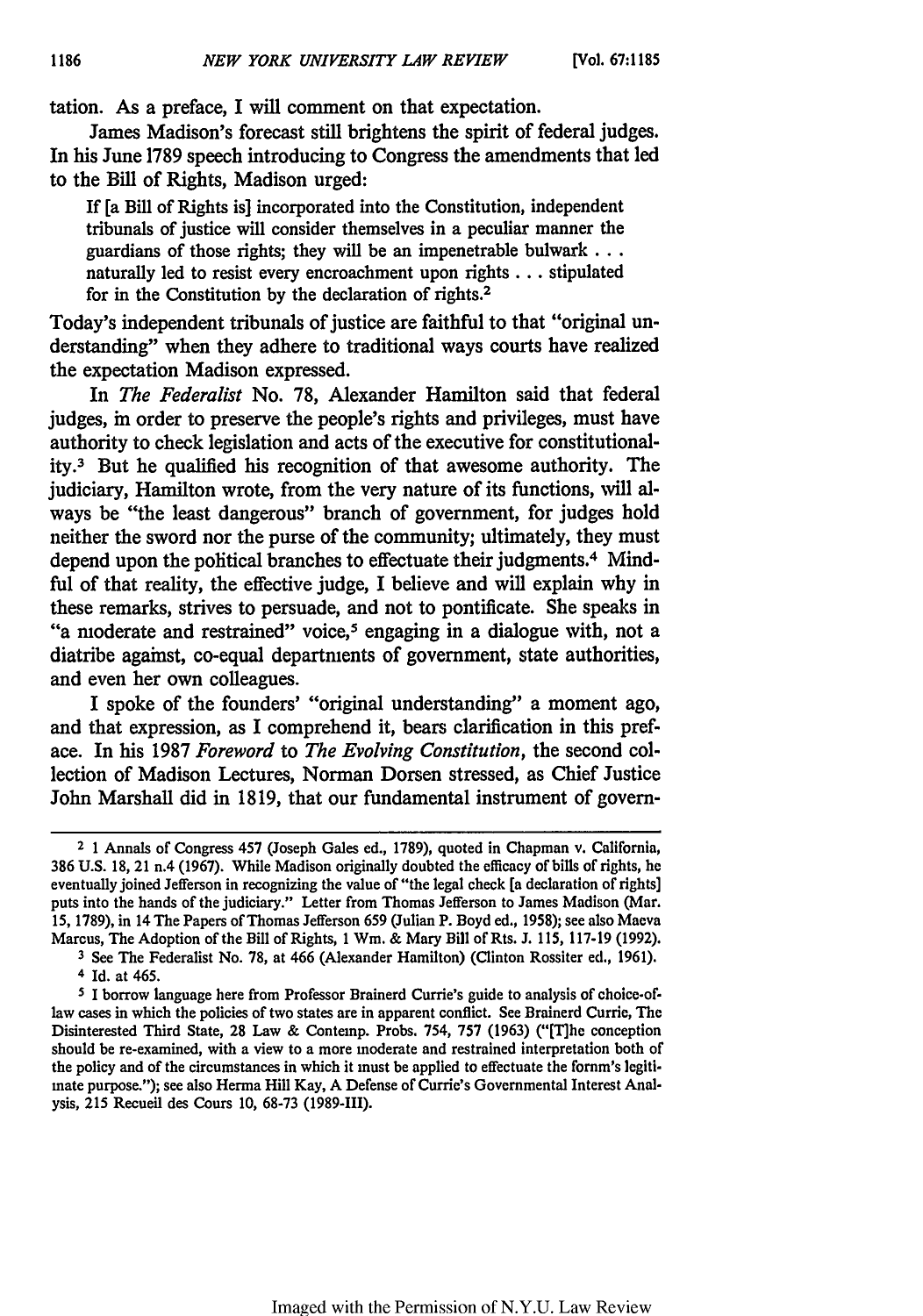tation. As a preface, I will comment on that expectation.

James Madison's forecast still brightens the spirit of federal judges. In his June 1789 speech introducing to Congress the amendments that led to the Bill of Rights, Madison urged:

If [a Bill of Rights is] incorporated into the Constitution, independent tribunals of justice will consider themselves in a peculiar manner the guardians of those rights; they will be an impenetrable bulwark... naturally led to resist every encroachment upon rights... stipulated for in the Constitution by the declaration of rights.<sup>2</sup>

Today's independent tribunals of justice are faithful to that "original understanding" when they adhere to traditional ways courts have realized the expectation Madison expressed.

In *The Federalist* No. 78, Alexander Hamilton said that federal judges, in order to preserve the people's rights and privileges, must have authority to check legislation and acts of the executive for constitutionality.3 But he qualified his recognition of that awesome authority. The judiciary, Hamilton wrote, from the very nature of its functions, will always be "the least dangerous" branch of government, for judges hold neither the sword nor the purse of the community; ultimately, they must depend upon the political branches to effectuate their judgments.4 Mindful of that reality, the effective judge, I believe and will explain why in these remarks, strives to persuade, and not to pontificate. She speaks in "a moderate and restrained" voice,<sup>5</sup> engaging in a dialogue with, not a diatribe against, co-equal departments of government, state authorities, and even her own colleagues.

I spoke of the founders' "original understanding" a moment ago, and that expression, as I comprehend it, bears clarification in this preface. In his 1987 *Foreword* to *The Evolving Constitution,* the second collection of Madison Lectures, Norman Dorsen stressed, as Chief Justice John Marshall did in 1819, that our fundamental instrument of govern-

**<sup>2</sup>**1 Annals of Congress 457 (Joseph Gales ed., 1789), quoted in Chapman v. California, 386 U.S. 18, 21 n.4 (1967). While Madison originally doubted the efficacy of bills of rights, he eventually joined Jefferson in recognizing the value of "the legal check [a declaration of rights] puts into the hands of the judiciary." Letter from Thomas Jefferson to James Madison (Mar. 15, 1789), in 14 The Papers of Thomas Jefferson 659 (Julian P. Boyd ed., 1958); see also Maeva Marcus, The Adoption of the Bill of Rights, 1 Win. & Mary Bill of Rts. **J.** 115, 117-19 (1992).

**<sup>3</sup>** See The Federalist No. 78, at 466 (Alexander Hamilton) (Clinton Rossiter ed., 1961). 4 Id. at 465.

**<sup>5</sup>** I borrow language here from Professor Brainerd Currie's guide to analysis of choicc-oflaw cases in which the policies of two states are in apparent conflict. See Brainerd Currie, The Disinterested Third State, 28 Law & Contemp. Probs. 754, 757 (1963) ("IT]he conception should be re-examined, with a view to a more moderate and restrained interpretation both of the policy and of the circumstances in which it must be applied to effectuate the forum's legitimate purpose."); see also Herna Hill Kay, A Defense of Currie's Governmental Interest Analysis, 215 Recueil des Cours 10, 68-73 (1989-III).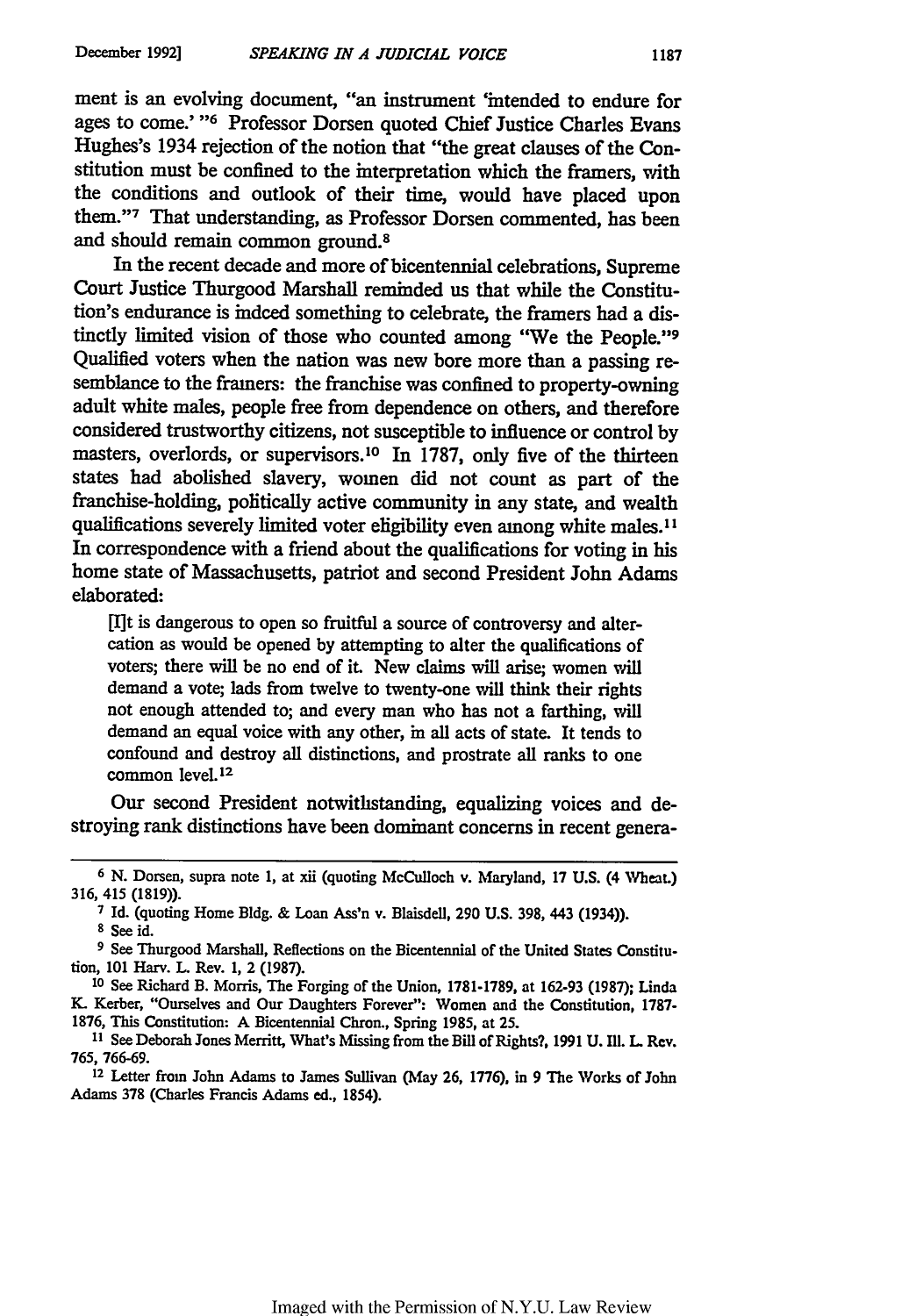ment is an evolving document, "an instrument 'intended to endure for ages to come.' "<sup>6</sup> Professor Dorsen quoted Chief Justice Charles Evans Hughes's 1934 rejection of the notion that "the great clauses of the Constitution must be confined to the interpretation which the framers, with the conditions and outlook of their time, would have placed upon them."7 That understanding, as Professor Dorsen commented, has been and should remain common ground.8

In the recent decade and more of bicentennial celebrations, Supreme Court Justice Thurgood Marshall reminded us that while the Constitution's endurance is indeed something to celebrate, the framers had a distinctly limited vision of those who counted among "We the People."<sup>9</sup> Qualified voters when the nation was new bore more than a passing resemblance to the framers: the franchise was confined to property-owning adult white males, people free from dependence on others, and therefore considered trustworthy citizens, not susceptible to influence or control by masters, overlords, or supervisors.10 In 1787, only five of the thirteen states had abolished slavery, women did not count as part of the franchise-holding, politically active community in any state, and wealth qualifications severely limited voter eligibility even among white males.<sup>11</sup> In correspondence with a friend about the qualifications for voting in his home state of Massachusetts, patriot and second President John Adams elaborated:

[I]t is dangerous to open so fruitful a source of controversy and altercation as would be opened by attempting to alter the qualifications of voters; there will be no end of it. New claims will arise; women will demand a vote; lads from twelve to twenty-one will think their rights not enough attended to; and every man who has not a farthing, will demand an equal voice with any other, in all acts of state. It tends to confound and destroy all distinctions, and prostrate all ranks to one common level. <sup>12</sup>

Our second President notwithstanding, equalizing voices and destroying rank distinctions have been dominant concerns in recent genera-

**9** See id.

**<sup>6</sup> N.** Dorsen, supra note **1,** at xii (quoting McCulloch v. Maryland, **17 U.S. (4 Wheat.) 316,** 415 **(1819)).**

**<sup>7</sup>** Id. (quoting Home Bldg. & Loan Ass'n v. Blaisdell, **290 U.S. 398, 443** (1934)).

<sup>&</sup>lt;sup>9</sup> See Thurgood Marshall, Reflections on the Bicentennial of the United States Constitution, 101 Harv. L. Rev. **1,** 2 (1987).

**<sup>10</sup>** See Richard B. Morris, The Forging of the Union, 1781-1789, at **162-93 (1987);** Linda *K.* Kerber, "Ourselves and Our Daughters Forever": Women and the Constitution, 1787- 1876, This Constitution: **A** Bicentennial Chron., Spring 1985, at 25.

**<sup>11</sup>** See Deborah Jones Merritt, What's Missing from the Bill of Rights?, 1991 **U.** IM. L Rev. 765, 766-69.

**<sup>12</sup>**Letter from John Adams to James Sullivan **(May 26, 1776),** in **9 The Works of** John Adams 378 (Charles Francis Adams ed., 1854).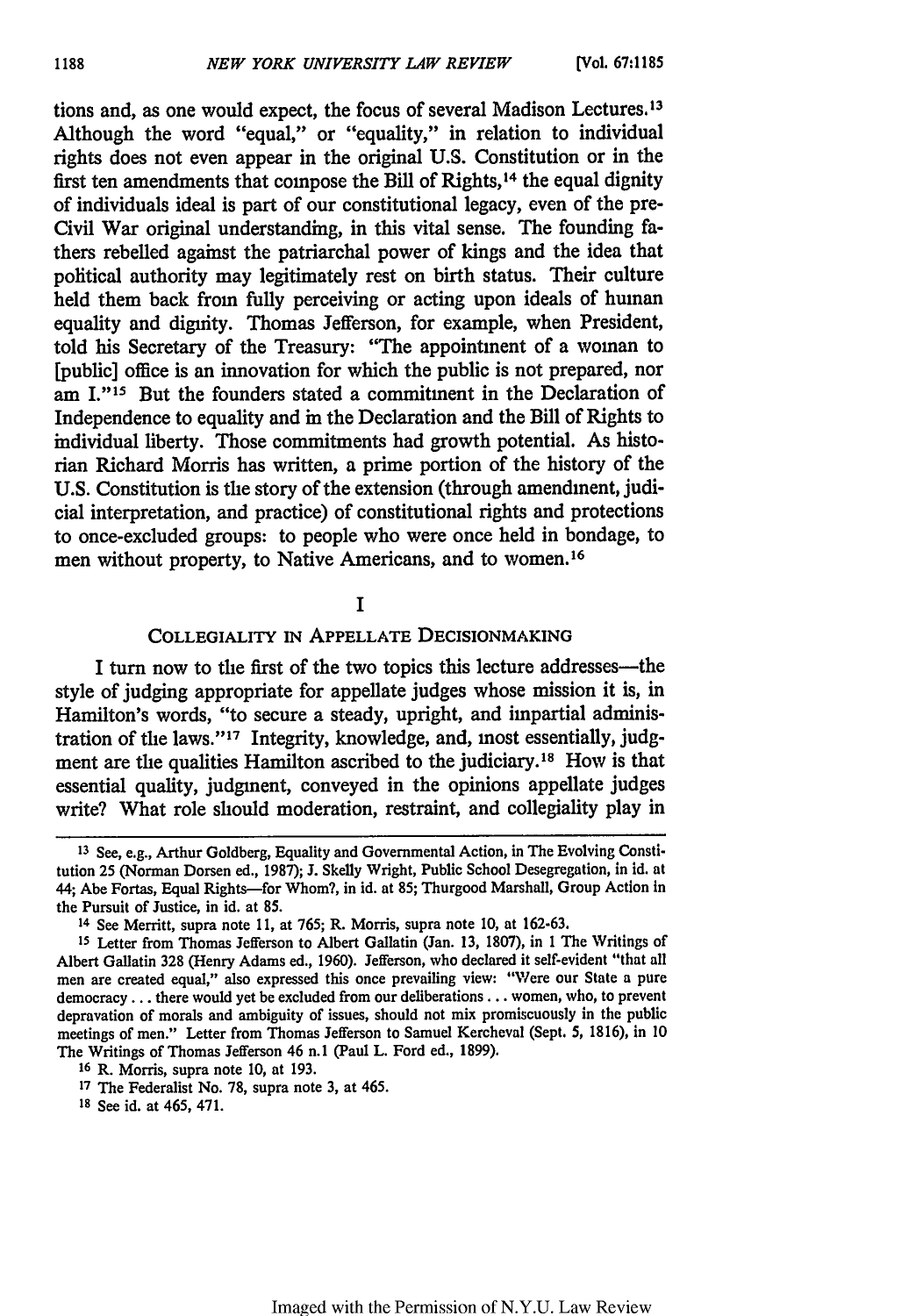tions and, as one would expect, the focus of several Madison Lectures.<sup>13</sup> Although the word "equal," or "equality," in relation to individual rights does not even appear in the original U.S. Constitution or in the first ten amendments that compose the Bill of Rights, 14 the equal dignity of individuals ideal is part of our constitutional legacy, even of the pre-Civil War original understanding, in this vital sense. The founding fathers rebelled against the patriarchal power of kings and the idea that political authority may legitimately rest on birth status. Their culture held them back from fully perceiving or acting upon ideals of human equality and dignity. Thomas Jefferson, for example, when President, told his Secretary of the Treasury: "The appointment of a woman to [public] office is an innovation for which the public is not prepared, nor am I."<sup>15</sup> But the founders stated a commitment in the Declaration of Independence to equality and in the Declaration and the Bill of Rights to individual liberty. Those commitments had growth potential. As historian Richard Morris has written, a prime portion of the history of the U.S. Constitution is the story of the extension (through amendment, judicial interpretation, and practice) of constitutional rights and protections to once-excluded groups: to people who were once held in bondage, to men without property, to Native Americans, and to women. **<sup>16</sup>**

**I**

#### COLLEGIALITY IN APPELLATE DECISIONMAKING

I turn now to the first of the two topics this lecture addresses-the style of judging appropriate for appellate judges whose mission it is, in Hamilton's words, "to secure a steady, upright, and impartial administration of the laws."17 Integrity, knowledge, and, most essentially, judgment are the qualities Hamilton ascribed to the judiciary.<sup>18</sup> How is that essential quality, judgment, conveyed in the opinions appellate judges write? What role should moderation, restraint, and collegiality play in

**<sup>13</sup>** See, e.g., Arthur Goldberg, Equality and Governmental Action, in The Evolving Constitution 25 (Norman Dorsen ed., 1987); J. Skelly Wright, Public School Desegregation, in id. at 44; Abe Fortas, Equal Rights-for Whom?, in id. at 85; Thurgood Marshall, Group Action in the Pursuit of Justice, in id. at 85.

<sup>&</sup>lt;sup>14</sup> See Merritt, supra note 11, at 765; R. Morris, supra note 10, at 162-63.

**<sup>15</sup>**Letter from Thomas Jefferson to Albert Gallatin (Jan. 13, 1807), in **I** The Writings of Albert Gallatin 328 (Henry Adams ed., 1960). Jefferson, who declared it self-evident "that all men are created equal," also expressed this once prevailing view: "Were our State a pure democracy.., there would yet be excluded from our deliberations.., women, who, to prevent depravation of morals and ambiguity of issues, should not mix promiscuously in the public meetings of men." Letter from Thomas Jefferson to Samuel Kercheval (Sept. 5, 1816), in 10 The Writings of Thomas Jefferson 46 n.1 (Paul L. Ford ed., 1899).

**<sup>16</sup>**R. Morris, supra note 10, at 193.

**<sup>17</sup>** The Federalist No. 78, supra note 3, at 465.

**<sup>18</sup>**See id. at 465, 471.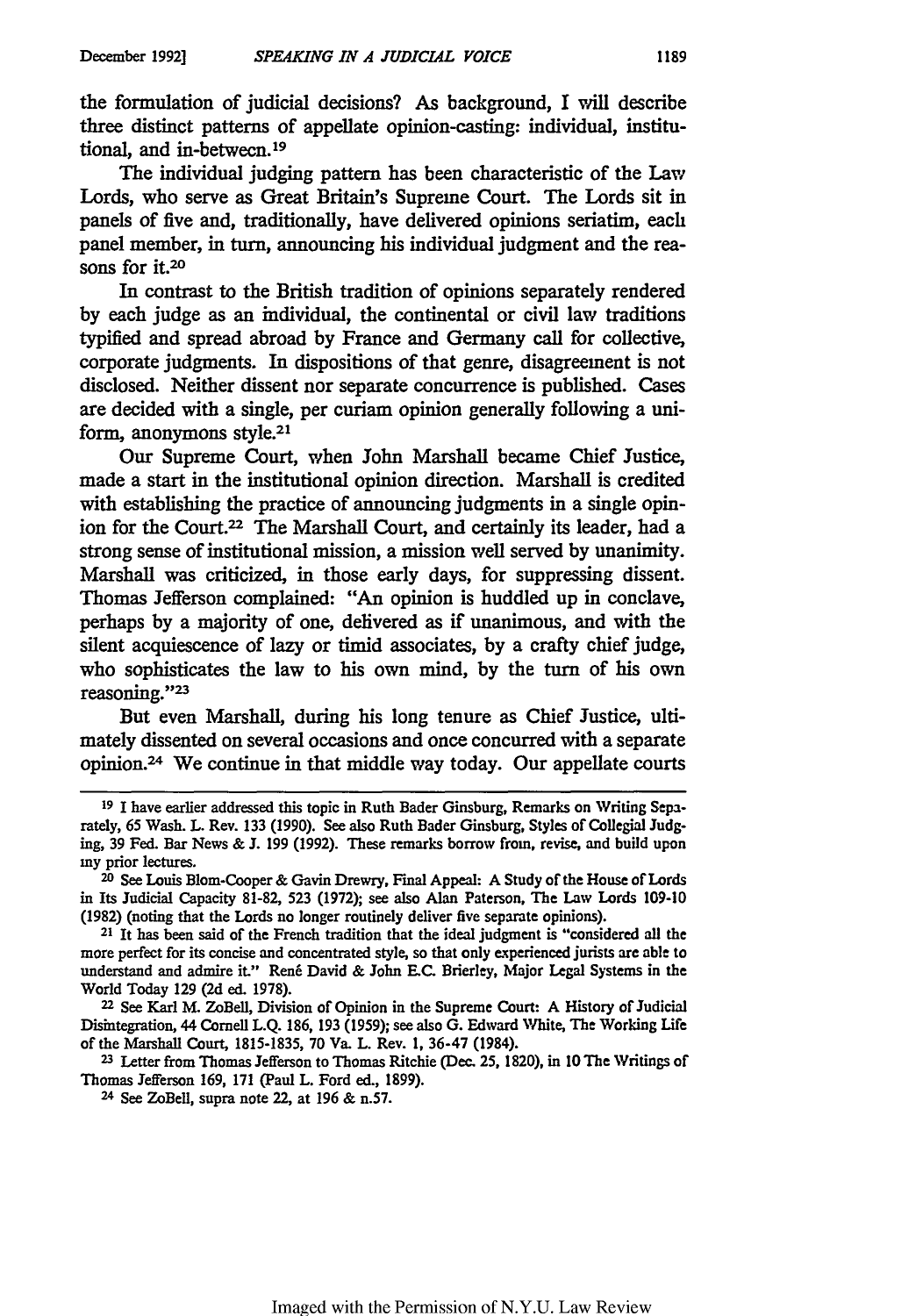the formulation of judicial decisions? As background, I will describe three distinct patterns of appellate opinion-casting: individual, institutional, and in-between. <sup>19</sup>

The individual judging pattern has been characteristic of the Law Lords, who serve as Great Britain's Supreme Court. The Lords sit in panels of five and, traditionally, have delivered opinions seriatim, each panel member, in turn, announcing his individual judgment and the reasons for it.<sup>20</sup>

In contrast to the British tradition of opinions separately rendered by each judge as an individual, the continental or civil law traditions typified and spread abroad by France and Germany call for collective, corporate judgments. In dispositions of that genre, disagreement is not disclosed. Neither dissent nor separate concurrence is published. Cases are decided with a single, per curiam opinion generally following a uniform, anonymons style.<sup>21</sup>

Our Supreme Court, when John Marshall became Chief Justice, made a start in the institutional opinion direction. Marshall is credited with establishing the practice of announcing judgments in a single opinion for the Court.<sup>22</sup> The Marshall Court, and certainly its leader, had a strong sense of institutional mission, a mission well served by unanimity. Marshall was criticized, in those early days, for suppressing dissent. Thomas Jefferson complained: "An opinion is huddled up in conclave, perhaps by a majority of one, delivered as if unanimous, and with the silent acquiescence of lazy or timid associates, by a crafty chief judge, who sophisticates the law to his own mind, by the turn of his own reasoning."23

But even Marshall, during his long tenure as Chief Justice, ultimately dissented on several occasions and once concurred with a separate opinion.24 We continue in that middle way today. Our appellate courts

**<sup>22</sup>**See Karl M. ZoBell, Division of Opinion in the Supreme Court: **A** History of Judicial Disintegration, 44 Cornell L.Q. 186, 193 (1959); see also G. Edward White, The Working Life of the Marshall Court, 1815-1835, 70 Va. L. Rev. **1,** 36-47 (1984).

**<sup>23</sup>**Letter from Thomas Jefferson to Thomas Ritchie (Dec. *25,* **1820),** in 10 The Writings of Thomas Jefferson **169, 171** (Paul L. Ford ed., **1899).**

<sup>24</sup>See ZoBell, supra note 22, at **196 &** n.57.

**<sup>19</sup>** 1 have earlier addressed this topic in Ruth Bader Ginsburg, Remarks on Writing Separately, 65 Wash. L. Rev. 133 (1990). See also Ruth Bader Ginsburg, Styles of Collegial Judging, 39 Fed. Bar News & **J.** 199 (1992). These remarks borrow from, revise, and build upon my prior lectures.

**<sup>20</sup>**See Louis Blom-Cooper & Gavin Drewry, Final Appeal: **A** Study of the House of Lords in Its Judicial Capacity **81-82, 523 (1972);** see also Alan Paterson, The Law Lords 109-10 (1982) (noting that the Lords no longer routinely deliver five separate opinions).

<sup>21</sup>It has been said of the French tradition that the ideal judgment is "considered all the more perfect for its concise and concentrated style, so that only experienced jurists are able to understand and admire it" Ren6 David & John E.C. Brierley, Major Legal Systems in the World Today **129** (2d ed. 1978).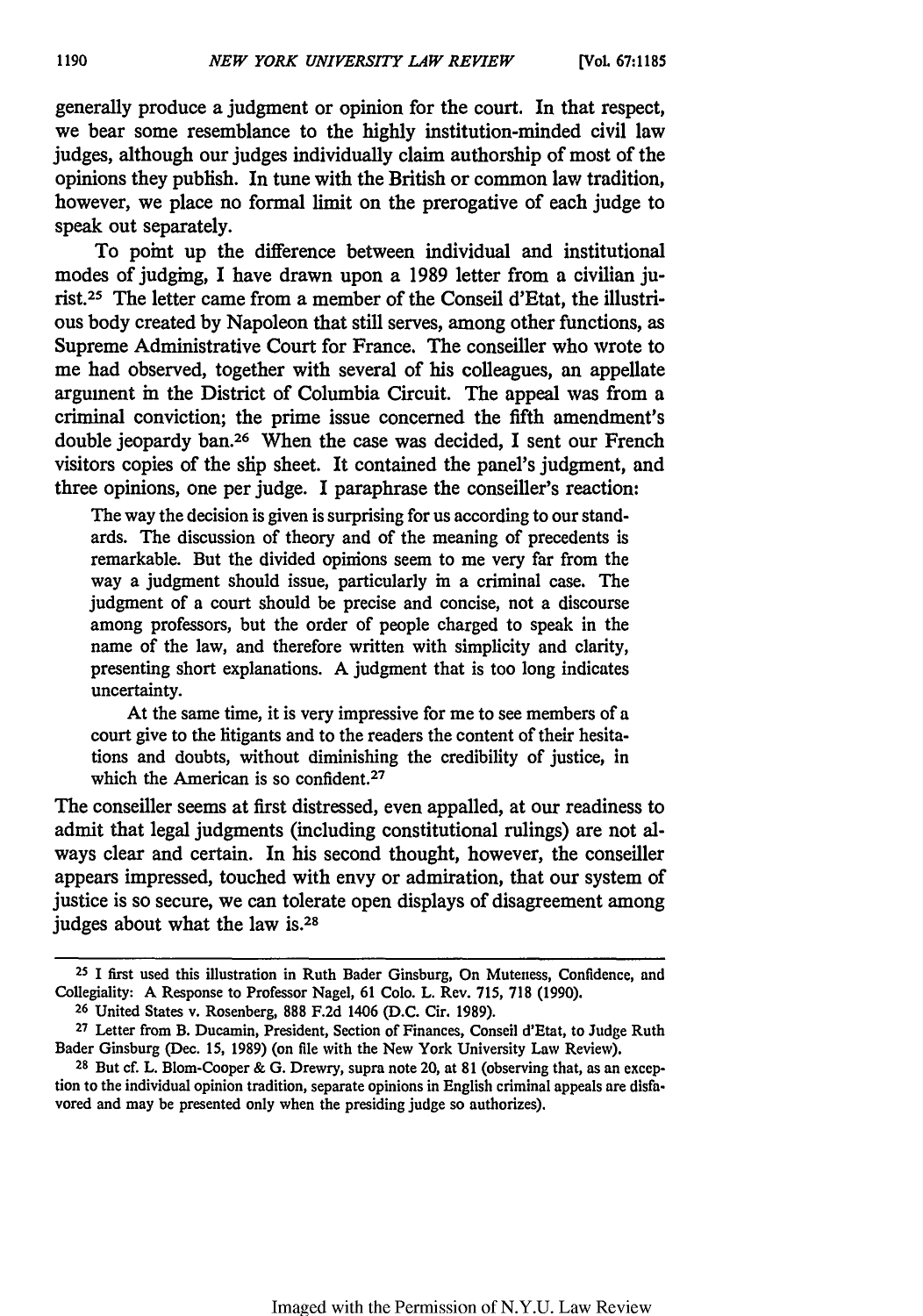generally produce a judgment or opinion for the court. In that respect, we bear some resemblance to the highly institution-minded civil law judges, although our judges individually claim authorship of most of the opinions they publish. In tune with the British or common law tradition, however, we place no formal limit on the prerogative of each judge to speak out separately.

To point up the difference between individual and institutional modes of judging, I have drawn upon a 1989 letter from a civilian jurist.25 The letter came from a member of the Conseil d'Etat, the illustrious body created by Napoleon that still serves, among other functions, as Supreme Administrative Court for France. The conseiller who wrote to me had observed, together with several of his colleagues, an appellate argument in the District of Columbia Circuit. The appeal was from a criminal conviction; the prime issue concerned the fifth amendment's double jeopardy ban.26 When the case was decided, I sent our French visitors copies of the slip sheet. It contained the panel's judgment, and three opinions, one per judge. I paraphrase the conseiller's reaction:

The way the decision is given is surprising for us according to our standards. The discussion of theory and of the meaning of precedents is remarkable. But the divided opinions seem to me very far from the way a judgment should issue, particularly in a criminal case. The judgment of a court should be precise and concise, not a discourse among professors, but the order of people charged to speak in the name of the law, and therefore written with simplicity and clarity, presenting short explanations. A judgment that is too long indicates uncertainty.

At the same time, it is very impressive for me to see members of a court give to the litigants and to the readers the content of their hesitations and doubts, without diminishing the credibility of justice, in which the American is so confident.<sup>27</sup>

The conseiller seems at first distressed, even appalled, at our readiness to admit that legal judgments (including constitutional rulings) are not always clear and certain. In his second thought, however, the conseiller appears impressed, touched with envy or admiration, that our system of justice is so secure, we can tolerate open displays of disagreement among judges about what the law is.<sup>28</sup>

**<sup>25</sup>**1 first used this illustration in Ruth Bader Ginsburg, On Muteness, Confidence, and Collegiality: A Response to Professor Nagel, 61 Colo. L. Rev. 715, 718 (1990).

**<sup>26</sup>** United States v. Rosenberg, 888 F.2d 1406 (D.C. Cir. 1989).

**<sup>27</sup>**Letter from B. Ducamin, President, Section of Finances, Conseil d'Etat, to Judge Ruth Bader Ginsburg (Dec. 15, 1989) (on file with the New York University Law Review).

**<sup>28</sup>** But cf. L. Blom-Cooper & **G.** Drewry, supra note 20, at 81 (observing that, as an exccption to the individual opinion tradition, separate opinions in English criminal appeals are disfavored and may be presented only when the presiding judge so authorizes).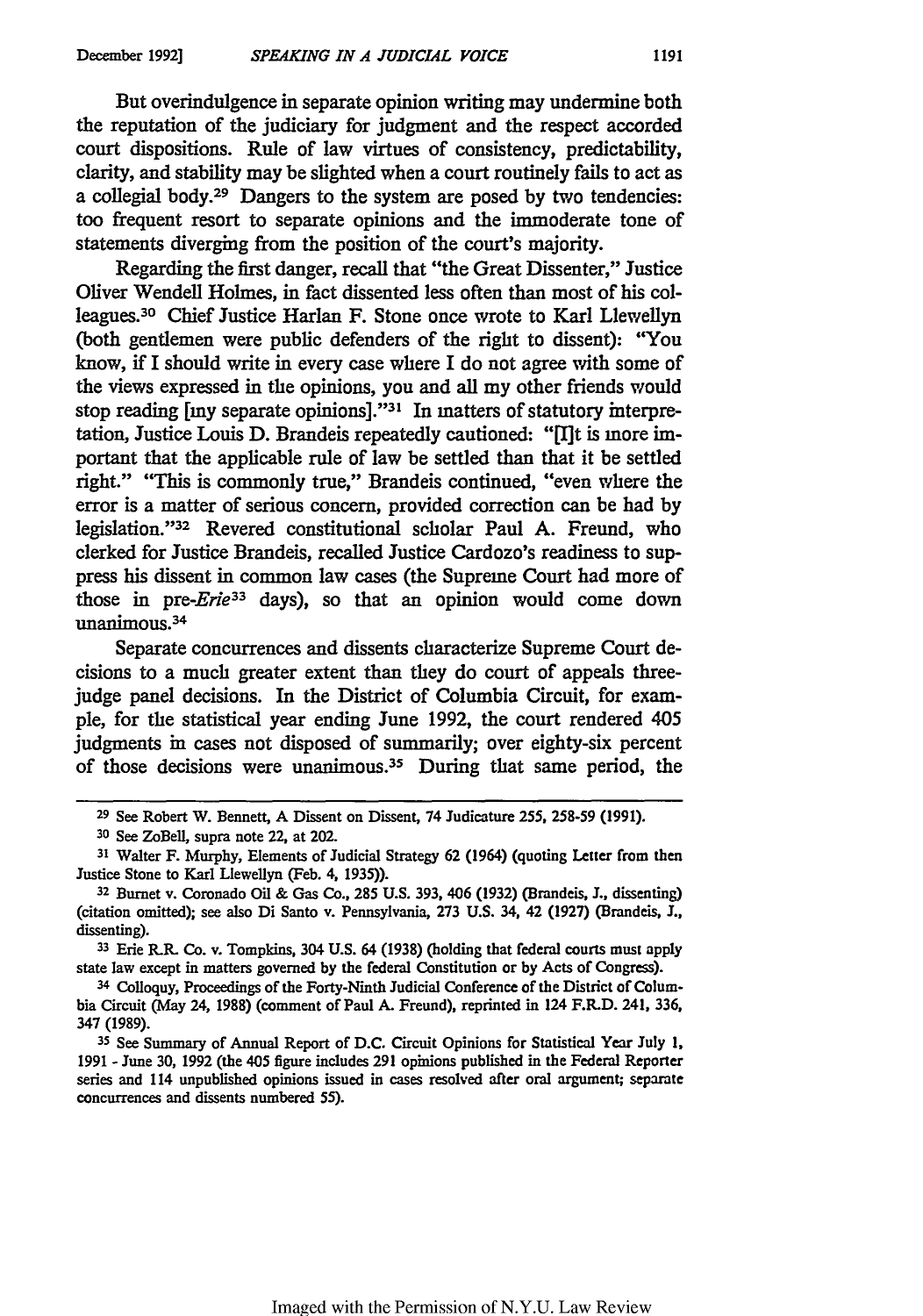But overindulgence in separate opinion writing may undermine both the reputation of the judiciary for judgment and the respect accorded court dispositions. Rule of law virtues of consistency, predictability, clarity, and stability may be slighted when a court routinely fails to act as a collegial body.29 Dangers to the system are posed by two tendencies: too frequent resort to separate opinions and the immoderate tone of statements diverging from the position of the court's majority.

Regarding the first danger, recall that "the Great Dissenter," Justice Oliver Wendell Holmes, in fact dissented less often than most of his colleagues.30 Chief Justice Harlan F. Stone once wrote to Karl Llewellyn (both gentlemen were public defenders of the right to dissent): "You know, if I should write in every case where I do not agree with some of the views expressed in the opinions, you and all my other friends would stop reading [my separate opinions]."31 In matters of statutory interpretation, Justice Louis **D.** Brandeis repeatedly cautioned: "[I]t is more important that the applicable rule of law be settled than that it be settled right." "This is commonly true," Brandeis continued, "even where the error is a matter of serious concern, provided correction can be had by legislation."<sup>32</sup> Revered constitutional scholar Paul A. Freund, who clerked for Justice Brandeis, recalled Justice Cardozo's readiness to suppress his dissent in common law cases (the Supreme Court had more of those in pre-Erie33 days), so that an opinion would come down unanimous. <sup>34</sup>

Separate concurrences and dissents characterize Supreme Court decisions to a much greater extent than they do court of appeals threejudge panel decisions. In the District of Columbia Circuit, for example, for the statistical year ending June 1992, the court rendered 405 judgments in cases not disposed of summarily; over eighty-six percent of those decisions were unanimous. 35 During that same period, the

**<sup>29</sup>**See Robert W. Bennett, A Dissent on Dissent, 74 Judicature **255, 258-59 (1991).**

**<sup>30</sup>**See ZoBell, supra note 22, at 202.

**<sup>31</sup>**Walter F. Murphy, Elements of Judicial Strategy 62 (1964) (quoting Letter from then Justice Stone to Karl Llewellyn (Feb. 4, 1935)).

**<sup>32</sup>**Burnet v. Coronado Oil & Gas Co., **285 U.S.** 393, 406 (1932) (Brandeis, **J.,** dissenting) (citation omitted); see also Di Santo v. Pennsylvania, **273** U.S. 34, 42 **(1927)** (Brandeis, *J.,* dissenting).

**<sup>33</sup>**Erie R.R. Co. v. Tompkins, 304 U.S. 64 (1938) (holding that federal courts must apply state law except in matters governed **by** the federal Constitution or **by** Acts of Congress).

<sup>34</sup> Colloquy, Proceedings of the Forty-Ninth Judicial Conference of the District of Columbia Circuit (May 24, **1988)** (comment of Paul A. Freund), reprinted in 124 F.R.D. 241, 336, **347** (1989).

**<sup>35</sup>**See Summary of Annual Report of **D.C.** Circuit Opinions for Statistical Year July **1.** 1991 - June **30, 1992** (the 405 figure includes **291** opinions published in the Federal Reporter series and 114 unpublished opinions issued in cases resolved after oral argument; separate concurrences and dissents numbered 55).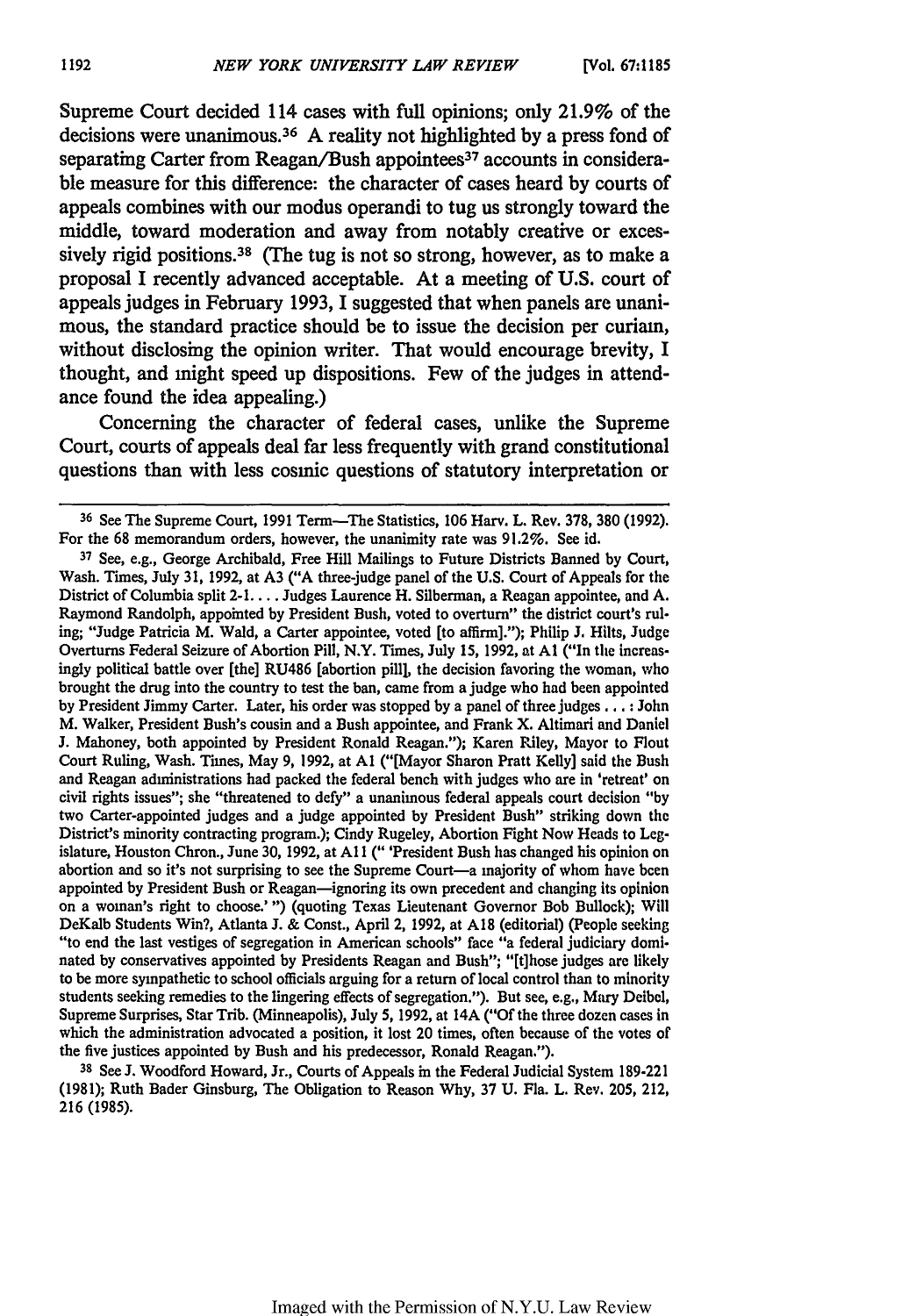Supreme Court decided 114 cases with full opinions; only 21.9% of the decisions were unanimous.36 A reality not highlighted by a press fond of separating Carter from Reagan/Bush appointees<sup>37</sup> accounts in considerable measure for this difference: the character of cases heard by courts of appeals combines with our modus operandi to tug us strongly toward the middle, toward moderation and away from notably creative or excessively rigid positions.<sup>38</sup> (The tug is not so strong, however, as to make a proposal I recently advanced acceptable. At a meeting of U.S. court of appeals judges in February 1993, I suggested that when panels are unanimous, the standard practice should be to issue the decision per curiam, without disclosing the opinion writer. That would encourage brevity, I thought, and might speed up dispositions. Few of the judges in attendance found the idea appealing.)

Concerning the character of federal cases, unlike the Supreme Court, courts of appeals deal far less frequently with grand constitutional questions than with less cosmic questions of statutory interpretation or

**<sup>36</sup>**See The Supreme Court, **1991** Term-The Statistics, **106** Harv. L. Rev. **378, 380 (1992).** For the 68 memorandum orders, however, the unanimity rate was 91.2%. See id.

**<sup>37</sup>**See, e.g., George Archibald, Free Hill Mailings to Future Districts Banned by Court, Wash. Times, July 31, 1992, at A3 **("A** three-judge panel of the U.S. Court of Appeals for the District of Columbia split 2-1.... Judges Laurence H. Silberman, a Reagan appointee, and A. Raymond Randolph, appointed by President Bush, voted to overturn" the district court's ruling; "Judge Patricia M. Wald, a Carter appointee, voted [to affirm]."); Philip **J.** Hilts, Judge Overturns Federal Seizure of Abortion Pill, N.Y. Times, July 15, 1992, at Al ("In the increasingly political battle over [the] RU486 [abortion pill], the decision favoring the woman, who brought the drug into the country to test the ban, came from a judge who had been appointed **by** President Jimmy Carter. Later, his order was stopped by a panel of three judges... **:** John M. Walker, President Bush's cousin and a Bush appointee, and Frank X. Altimari and Daniel J. Mahoney, both appointed by President Ronald Reagan."); Karen Riley, Mayor to Flout Court Ruling, Wash. Times, May 9, 1992, at **Al** ("['Mayor Sharon Pratt Kelly] said the Bush and Reagan administrations had packed the federal bench with judges who are in 'retreat' on civil rights issues"; she "threatened to defy" a unanimous federal appeals court decision "by two Carter-appointed judges and a judge appointed by President Bush" striking down the District's minority contracting program.); Cindy Rugeley, Abortion Fight Now Heads to Legislature, Houston Chron., June 30, 1992, at **All** ("'President Bush has changed his opinion on abortion and so it's not surprising to see the Supreme Court-a majority of whom have been appointed by President Bush or Reagan-ignoring its own precedent and changing its opinion on a woman's right to choose.' ") (quoting Texas Lieutenant Governor Bob Bullock); Will DeKalb Students Win?, Atlanta J. & Const., April 2, 1992, at A18 (editorial) (People seeking "to end the last vestiges of segregation in American schools" face "a federal judiciary dominated by conservatives appointed by Presidents Reagan and Bush"; "[t]hose judges are likely to be more sympathetic to school officials arguing for a return of local control than to minority students seeking remedies to the lingering effects of segregation."). But see, e.g., Mary Deibel, Supreme Surprises, Star Trib. (Minneapolis), July 5, 1992, at 14A ("Of the three dozen cases in which the administration advocated a position, it lost 20 times, often because of the votes of the five justices appointed by Bush and his predecessor, Ronald Reagan.").

**<sup>38</sup>**See **J.** Woodford Howard, Jr., Courts of Appeals in the Federal Judicial System 189-221 (1981); Ruth Bader Ginsburg, The Obligation to Reason Why, 37 **U.** Fla. L. Rev. 205, 212, **216** (1985).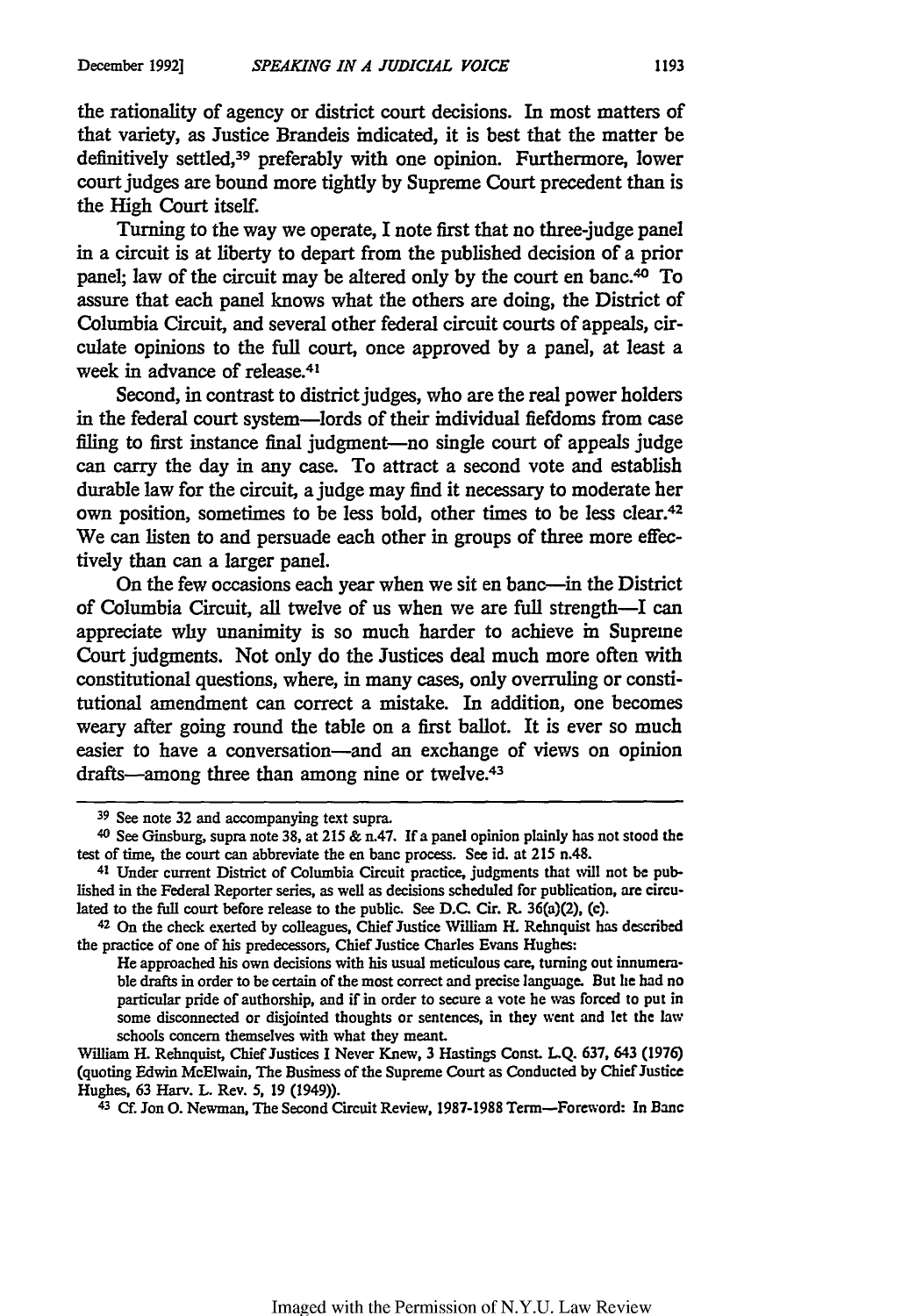the rationality of agency or district court decisions. In most matters of that variety, as Justice Brandeis indicated, it is best that the matter be definitively settled,<sup>39</sup> preferably with one opinion. Furthermore, lower court judges are bound more tightly by Supreme Court precedent than is the High Court itself.

Turning to the way we operate, I note first that no three-judge panel in a circuit is at liberty to depart from the published decision of a prior panel; law of the circuit may be altered only by the court en banc.40 To assure that each panel knows what the others are doing, the District of Columbia Circuit, and several other federal circuit courts of appeals, circulate opinions to the full court, once approved by a panel, at least a week in advance of release.4'

Second, in contrast to district judges, who are the real power holders in the federal court system-lords of their individual fiefdoms from case filing to first instance final judgment-no single court of appeals judge can carry the day in any case. To attract a second vote and establish durable law for the circuit, a judge may find it necessary to moderate her own position, sometimes to be less bold, other times to be less clear.<sup>42</sup> We can listen to and persuade each other in groups of three more effectively than can a larger panel.

On the few occasions each year when we sit en banc-in the District of Columbia Circuit, all twelve of us when we are full strength-I can appreciate why unanimity is so much harder to achieve in Supreme Court judgments. Not only do the Justices deal much more often with constitutional questions, where, in many cases, only overruling or constitutional amendment can correct a mistake. In addition, one becomes weary after going round the table on a first ballot. It is ever so much easier to have a conversation-and an exchange of views on opinion drafts-among three than among nine or twelve.<sup>43</sup>

William *tL* Rehnquist, Chief Justices I Never Knew, **3** Hastings Const. LQ. **637,** 643 (1976) (quoting Edwin McElwain, The Business of the Supreme Court as Conducted **by** ChiefJustice Hughes, 63 Harv. L. Rev. *5,* 19 (1949)).

<sup>43</sup>**Cf.** Jon **0.** Newman, The Second Circuit Review, 1987-1988 Term-Foreword: In Banc

<sup>&</sup>lt;sup>39</sup> See note 32 and accompanying text supra.

<sup>&</sup>lt;sup>40</sup> See Ginsburg, supra note 38, at 215 & n.47. If a panel opinion plainly has not stood the test of time, the court can abbreviate the en banc process. See id. at 215 n.48.

<sup>41</sup> Under current District of Columbia Circuit practice, judgments that will not **be** published in the Federal Reporter series, as well as decisions scheduled for publication, are irculated to the full court before release to the public. See D.C. Cir. R. 36(a)(2), (c).

<sup>42</sup>On the check exerted **by** colleagues, Chief Justice William H. Rehnquist has described the practice of one of his predecessors, Chief Justice Charles Evans Hughes:

He approached his own decisions with his usual meticulous care, turning out innumerable drafts in order to be certain of the most correct and precise language. But he had no particular pride of authorship, and if in order to secure a vote he was forced to put in some disconnected or disjointed thoughts or sentences, in they went and let the law schools concern themselves with what they meant.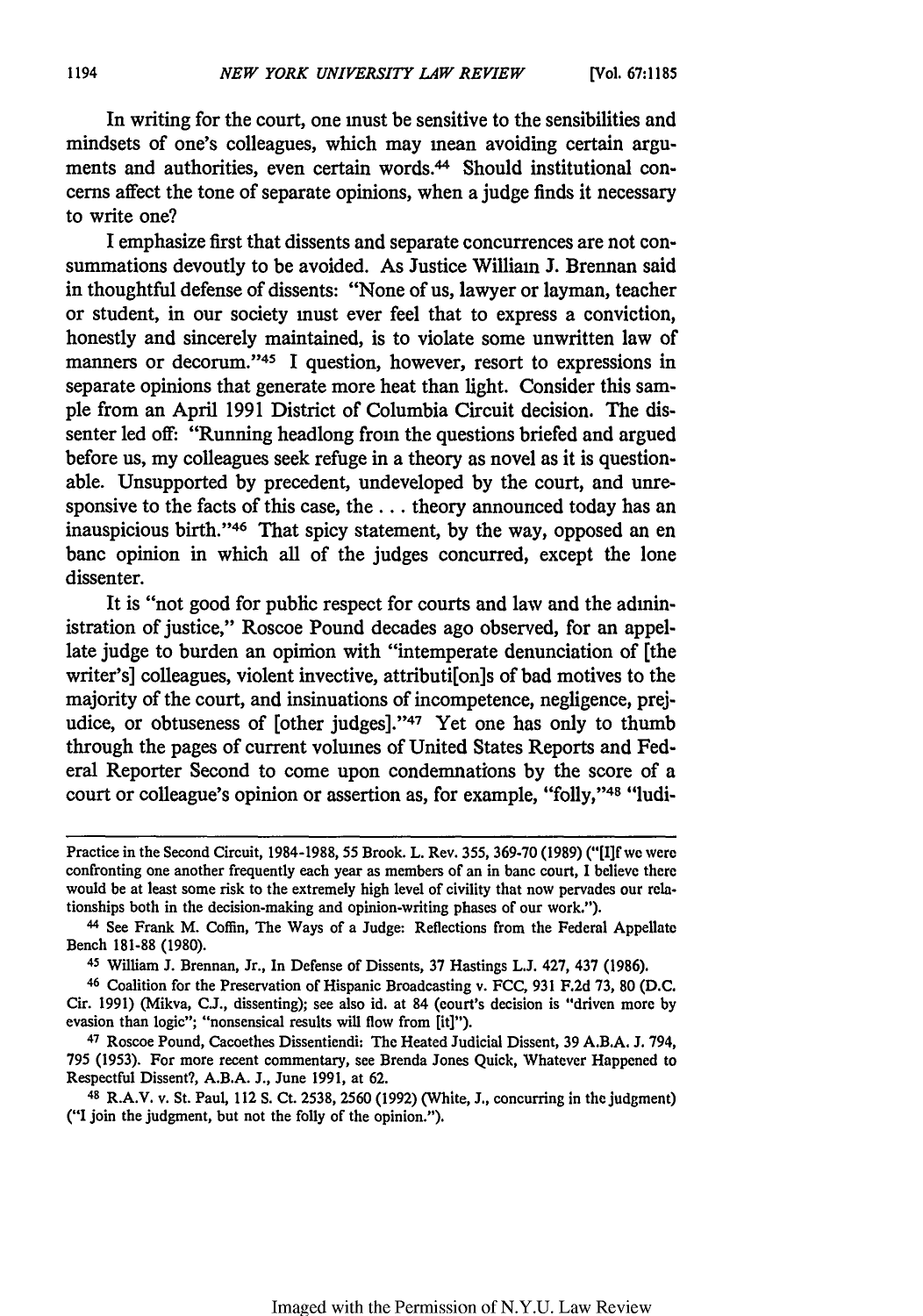In writing for the court, one must be sensitive to the sensibilities and mindsets of one's colleagues, which may mean avoiding certain arguments and authorities, even certain words.<sup>44</sup> Should institutional concerns affect the tone of separate opinions, when a judge finds it necessary to write one?

I emphasize first that dissents and separate concurrences are not consummations devoutly to be avoided. As Justice William **J.** Brennan said in thoughtful defense of dissents: "None of us, lawyer or layman, teacher or student, in our society must ever feel that to express a conviction, honestly and sincerely maintained, is to violate some unwritten law of manners or decorum."<sup>45</sup> I question, however, resort to expressions in separate opinions that generate more heat than light. Consider this sample from an April **1991** District of Columbia Circuit decision. The dissenter led off: "Running headlong from the questions briefed and argued before us, my colleagues seek refuge in a theory as novel as it is questionable. Unsupported by precedent, undeveloped by the court, and unresponsive to the facts of this case, the... theory announced today has an inauspicious birth."<sup>46</sup> That spicy statement, by the way, opposed an en banc opinion in which all of the judges concurred, except the lone dissenter.

It is "not good for public respect for courts and law and the administration of justice," Roscoe Pound decades ago observed, for an appellate judge to burden an opinion with "intemperate denunciation of [the writer's] colleagues, violent invective, attributionls of bad motives to the majority of the court, and insinuations of incompetence, negligence, prejudice, or obtuseness of [other judges]."<sup>47</sup> Yet one has only to thumb through the pages of current volumes of United States Reports and Federal Reporter Second to come upon condemnations by the score of a court or colleague's opinion or assertion as, for example, "folly,"<sup>48</sup> "ludi-

Practice in the Second Circuit, 1984-1988, 55 Brook. L. Rev. 355, 369-70 (1989) ("[I]f we were confronting one another frequently each year as members of an in banc court, I believe there would be at least some risk to the extremely high level of civility that now pervades our relationships both in the decision-making and opinion-writing phases of our work.").

<sup>44</sup>See Frank M. Coffin, The Ways of a Judge: Reflections from the Federal Appellate Bench 181-88 (1980).

<sup>45</sup>William J. Brennan, Jr., In Defense of Dissents, 37 Hastings L.J. 427, 437 (1986).

<sup>46</sup>Coalition for the Preservation of Hispanic Broadcasting v. FCC, 931 F.2d 73, 80 **(D.C.** Cir. 1991) (Mikva, C.J., dissenting); see also id. at 84 (court's decision is "driven more **by** evasion than logic"; "nonsensical results will flow from [it]").

<sup>47</sup>Roscoe Pound, Cacoethes Dissentiendi: The Heated Judicial Dissent, 39 A.B.A. J. 794, 795 (1953). For more recent commentary, see Brenda Jones Quick, Whatever Happened to Respectful Dissent?, A.B.A. J., June 1991, at 62.

<sup>48</sup>R.A.V. v. St. Paul, 112 S. Ct. 2538, 2560 (1992) (White, **J.,** concurring in the judgment) ("I join the judgment, but not the folly of the opinion.").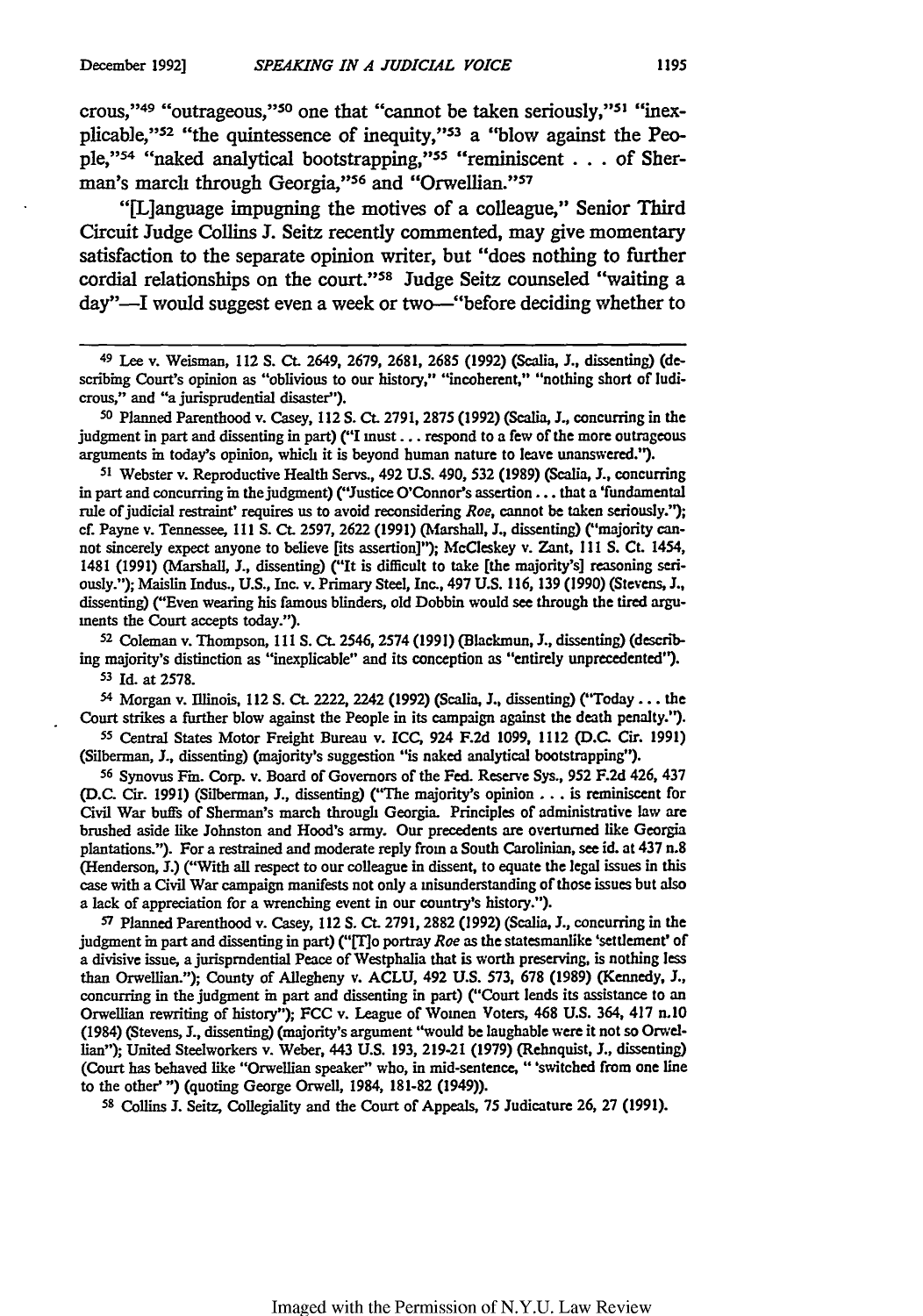crous,"<sup>49</sup> "outrageous,"<sup>50</sup> one that "cannot be taken seriously,"<sup>51</sup> "inexplicable," $52$  "the quintessence of inequity," $53$  a "blow against the People,"<sup>54</sup> "naked analytical bootstrapping,"<sup>55</sup> "reminiscent . . . of Sherman's march through Georgia,"<sup>56</sup> and "Orwellian."<sup>57</sup>

"[L]anguage impugning the motives of a colleague," Senior Third Circuit Judge Collins **J.** Seitz recently commented, may give momentary satisfaction to the separate opinion writer, but "does nothing to further cordial relationships on the court."<sup>58</sup> Judge Seitz counseled "waiting a day"—I would suggest even a week or two—"before deciding whether to

50 Planned Parenthood v. Casey, 112 S. Ct. 2791, 2875 (1992) (Scalia, J., concurring in the judgment in part and dissenting in part) **("I must...** respond to a few of the more outrageous arguments in today's opinion, which it is beyond human nature to leave unanswered.").

**<sup>51</sup>**Webster v. Reproductive Health Servs., 492 **U.S.** 490, **532 (1989)** (Scalia, **J.,** concurring in part and concurring in the judgment) ("Justice O'Connor's assertion . . . that a 'fundamental rule of judicial restraint' requires us to avoid reconsidering *Roe,* cannot be taken seriously."); **cf.** Payne v. Tennessee, 111 **S. CL 2597,** 2622 (1991) (Marshall, **J.,** dissenting) ("majority cannot sincerely expect anyone to believe [its assertion]"); McCleskey v. Zant, **I11 S.** Ct. 1454, 1481 (1991) (Marshall, **J.,** dissenting) ("It is difficult to take [the majority's] reasoning **seri**ously."); Maislin Indus., **U.S.,** Inc. v. Primary Steel, Inc., 497 **U.S. 116, 139** (1990) (Stevens, **J.,** dissenting) ("Even wearing his famous blinders, old Dobbin would see through the tired arguments the Court accepts today.").

**52** Coleman v. Thompson, **111 S.** Ct. 2546, 2574 **(1991)** (Blackmun, **J.,** dissenting) (descrbing majority's distinction as "inexplicable" and its conception as "entirely unprecedented"). **<sup>53</sup>**Id. at 2578.

54 Morgan v. Illinois, 112 **S. CL** 2222, 2242 (1992) (Scalia, **J.,** dissenting) **(Today ...** the Court strikes a further blow against the People in its campaign against the death penalty."). **<sup>55</sup>**Central States Motor Freight Bureau v. ICC, 924 F.2d **1099,** 1112 **(D.C.** Cir. **1991)**

(Silberman, **J.,** dissenting) (majority's suggestion "is naked analytical bootstrapping"). **<sup>56</sup>**Synovus Fin. Corp. v. Board of Governors of the **Fed.** Reserve Sys., **952 F.2d** 426, 437 **(D.C.** Cir. **1991)** (Silberman, **J.,** dissenting) ("The majority's opinion... is reminiscent for Civil War buffs of Sherman's march through Georgia. Principles **of** administrative law are brushed aside like Johnston and Hood's army. Our precedents are overturned like Georgia plantations."). For a restrained and moderate reply from a South Carolinian, **see** id. at 437 **n.8** (Henderson, **J.)** ("With all respect to our colleague in dissent, to equate the legal issues in this case with a Civil War campaign manifests not only a misunderstanding of those issues but also

a lack of appreciation for a wrenching event in our country's history."). **<sup>57</sup>**Planned Parenthood v. Casey, 112 **S. CL 2791, 2882 (1992)** (Scalia, **J.,** concurring in the judgment in part and dissenting in part) ("[T]o portray *Roe* as the statesmanlike 'settlement' of a divisive issue, a jurisprudential Peace of Westphalia that is worth preserving, is nothing less than Orwellian."); County of Allegheny **v. ACLU,** 492 **U.S. 573, 678 (1989)** (Kennedy, **J.,** concurring in the judgment in part and dissenting in part) ("Court lends its assistance to an Orwellian rewriting of history"); **FCC** v. League of Women Voters, **468 U.S.** 364, 417 **n.10** (1984) (Stevens, J., dissenting) (majority's argument "would be laughable were it not so Orwellian"); United Steelworkers v. Weber, 443 **U.S. 193, 219-21 (1979)** (Rehnquist, **J.,** dissenting) (Court has behaved like "Orwellian speaker" who, in mid-sentence, "'switched from one line to the other' *")* (quoting George Orwell, 1984, **181-82** (1949)).

**<sup>58</sup>**Collins **J.** Seitz, Collegiality and the Court of Appeals, **75** Judicature **26, 27 (1991).**

**<sup>49</sup>** Lee v. Weisman, 112 **S. Ct** 2649, **2679, 2681, 2685 (1992)** (Scalia, **J., dissenting) (de**scribing Court's opinion as "oblivious to our history," "incoherent," "nothing short of ludicrous," and "a jurisprudential disaster").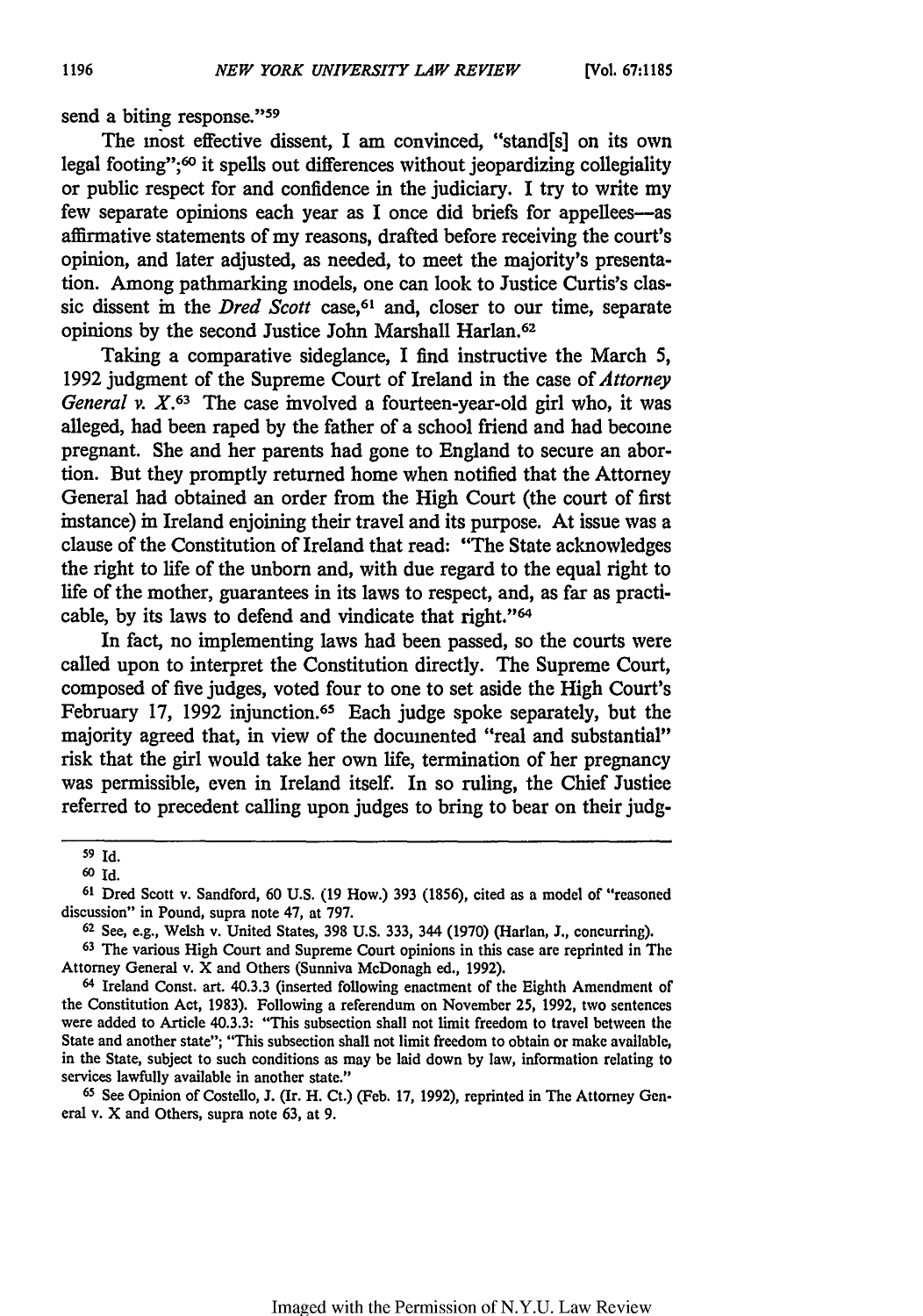send a biting response." 59

The most effective dissent, I am convinced, "stand[s] on its own legal footing";60 it spells out differences without jeopardizing collegiality or public respect for and confidence in the judiciary. I try to write my few separate opinions each year as I once did briefs for appellees---as affirmative statements of my reasons, drafted before receiving the court's opinion, and later adjusted, as needed, to meet the majority's presentation. Among pathmarking models, one can look to Justice Curtis's classic dissent in the *Dred Scott* case,<sup>61</sup> and, closer to our time, separate opinions by the second Justice John Marshall Harlan.62

Taking a comparative sideglance, I find instructive the March 5, 1992 judgment of the Supreme Court of Ireland in the case of *Attorney General v. X.*<sup>63</sup> The case involved a fourteen-year-old girl who, it was alleged, had been raped by the father of a school friend and had become pregnant. She and her parents had gone to England to secure an abortion. But they promptly returned home when notified that the Attorney General had obtained an order from the High Court (the court of first instance) in Ireland enjoining their travel and its purpose. At issue was a clause of the Constitution of Ireland that read: "The State acknowledges the right to life of the unborn and, with due regard to the equal right to life of the mother, guarantees in its laws to respect, and, as far as practicable, by its laws to defend and vindicate that right."<sup>64</sup>

In fact, no implementing laws had been passed, so the courts were called upon to interpret the Constitution directly. The Supreme Court, composed of five judges, voted four to one to set aside the High Court's February 17, 1992 injunction.65 Each judge spoke separately, but the majority agreed that, in view of the documented "real and substantial" risk that the girl would take her own life, termination of her pregnancy was permissible, even in Ireland itself. In so ruling, the Chief Justice referred to precedent calling upon judges to bring to bear on their judg-

**65** See Opinion of Costello, J. (Ir. H. Ct.) (Feb. 17, 1992), reprinted in The Attorney General v. X and Others, supra note 63, at 9.

**<sup>59</sup>**Id.

**<sup>60</sup>**Id.

<sup>61</sup> Dred Scott v. Sandford, 60 U.S. (19 How.) 393 (1856), cited as a model of "reasoned discussion" in Pound, supra note 47, at 797.

**<sup>62</sup>**See, e.g., Welsh v. United States, 398 U.S. 333, 344 (1970) (Harlan, **J.,** concurring).

**<sup>63</sup>**The various High Court and Supreme Court opinions in this case are reprinted in The Attorney General v. X and Others (Sunniva McDonagh ed., 1992).

<sup>64</sup>Ireland Const. art. 40.3.3 (inserted following enactment of the Eighth Amendment of the Constitution Act, 1983). Following a referendum on November 25, 1992, two sentences were added to Article 40.3.3: "This subsection shall not limit freedom to travel between the State and another state"; "This subsection shall not limit freedom to obtain or make available, in the State, subject to such conditions as may be laid down by law, information relating to services lawfully available in another state."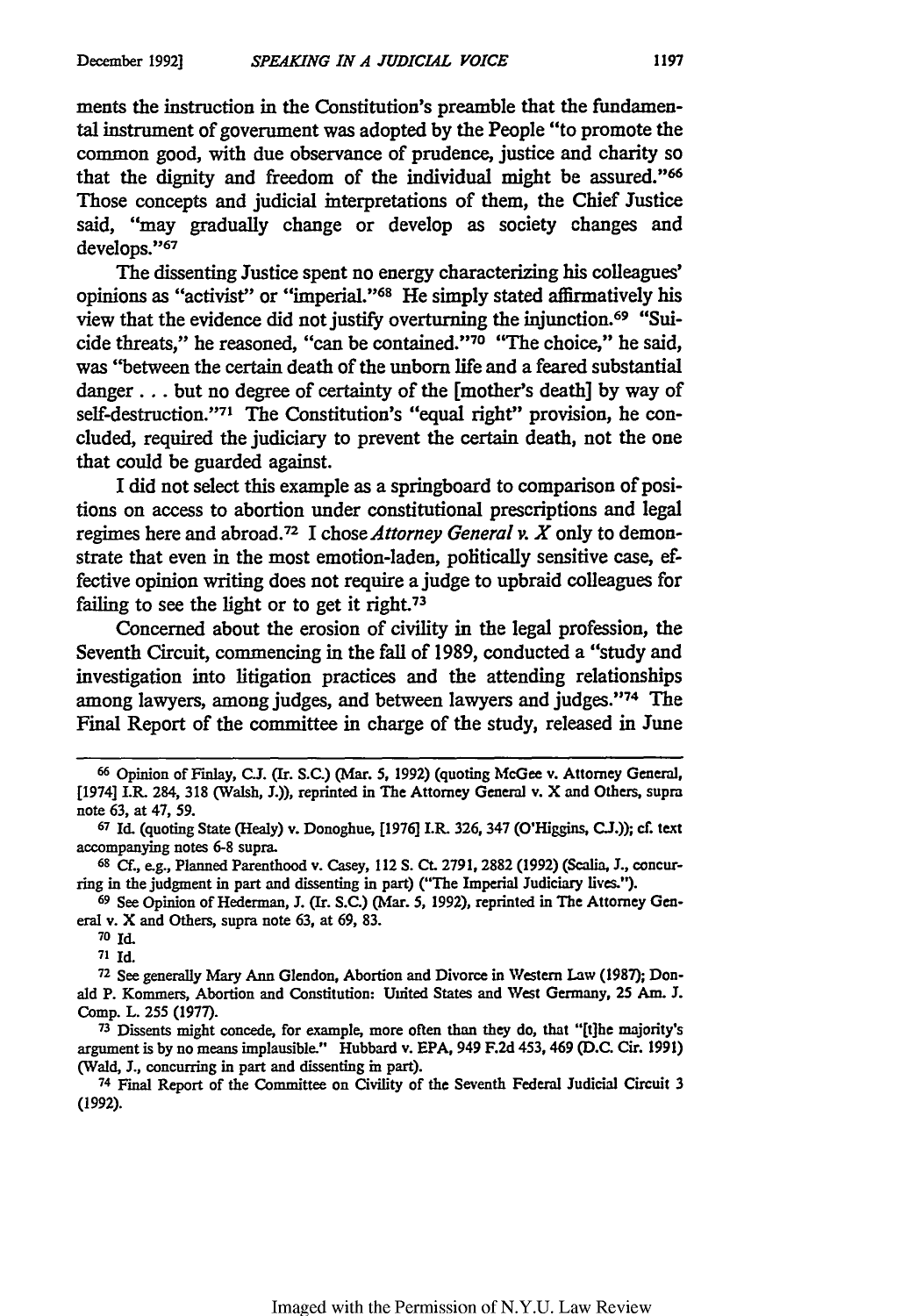ments the instruction in the Constitution's preamble that the fundamental instrument of government was adopted **by** the People "to promote the common good, with due observance of prudence, justice and charity so that the dignity and freedom of the individual might be assured."<sup>66</sup> Those concepts and judicial interpretations of them, the Chief Justice said, "may gradually change or develop as society changes and develops."<sup>67</sup>

The dissenting Justice spent no energy characterizing his colleagues' opinions as "activist" or "imperial."<sup>68</sup> He simply stated affirmatively his view that the evidence did not justify overturning the injunction. 69 "Suicide threats," he reasoned, "can be contained."<sup>70</sup> "The choice," he said, was "between the certain death of the unborn life and a feared substantial danger... but no degree of certainty of the [mother's death] **by** way of self-destruction."<sup>71</sup> The Constitution's "equal right" provision, he concluded, required the judiciary to prevent the certain death, not the one that could be guarded against.

I did not select this example as a springboard to comparison of positions on access to abortion under constitutional prescriptions and legal regimes here and abroad.72 I *chose Attorney General v. X* only to demonstrate that even in the most emotion-laden, politically sensitive case, effective opinion writing does not require a judge to upbraid colleagues for failing to see the light or to get it right.<sup>73</sup>

Concerned about the erosion of civility in the legal profession, the Seventh Circuit, commencing in the fall of 1989, conducted a "study and investigation into litigation practices and the attending relationships among lawyers, among judges, and between lawyers and judges."<sup>74</sup> The Final Report of the committee in charge of the study, released in June

**69** See Opinion of Hederman, **J.** (Ir. **S.C.)** *(Mar. 5,* **1992),** reprinted in The Attorney General v. X and Others, supra note 63, at *69,* 83.

**<sup>71</sup>Id.**

**72** See generally Mary Ann Glendon, Abortion and Divorce in Western Law **(1987);** Donald P. Kommers, Abortion and Constitution: United States and West Germany, **25 Am.** J. **Comp.** L. **255 (1977).**

**<sup>73</sup>**Dissents might concede, for example, more often than they do, that "[t]he majority's argument is **by** no means implausible." Hubbard v. **EPA,** 949 **F.2d** 453, 469 **(D.C.** Cir. **1991)** (Wald, **J.,** concurring in part and dissenting in part).

**<sup>74</sup>**Final Report of the Committee on Civility of the Seventh Federal Judicial Circuit 3 **(1992).**

**<sup>66</sup>**Opinion of **Finlay, CJ. (Ir. S.C.) (Mar. 5, 1992)** (quoting McGee v. Attorney General, [1974] **I.R. 284, 318 (Walsh,** *J.)),* reprinted in The Attorney General **v. X and Others, supra** note **63,** at 47, **59.**

**<sup>67</sup>Id.** (quoting State (Healy) v. Donoghue, **[1976]** I.R. **326,** 347 **(O'Higgins, C.J.)); cf.** text accompanying notes 6-8 supra.

**<sup>68</sup> Cf.,** e.g., Planned Parenthood v. Casey, 112 **S.** Ct. **2791, 2882 (1992)** (Scalia, J., concurring in the judgment in part and dissenting in part) ("The Imperial Judiciary lives.").

**<sup>70</sup>**Id.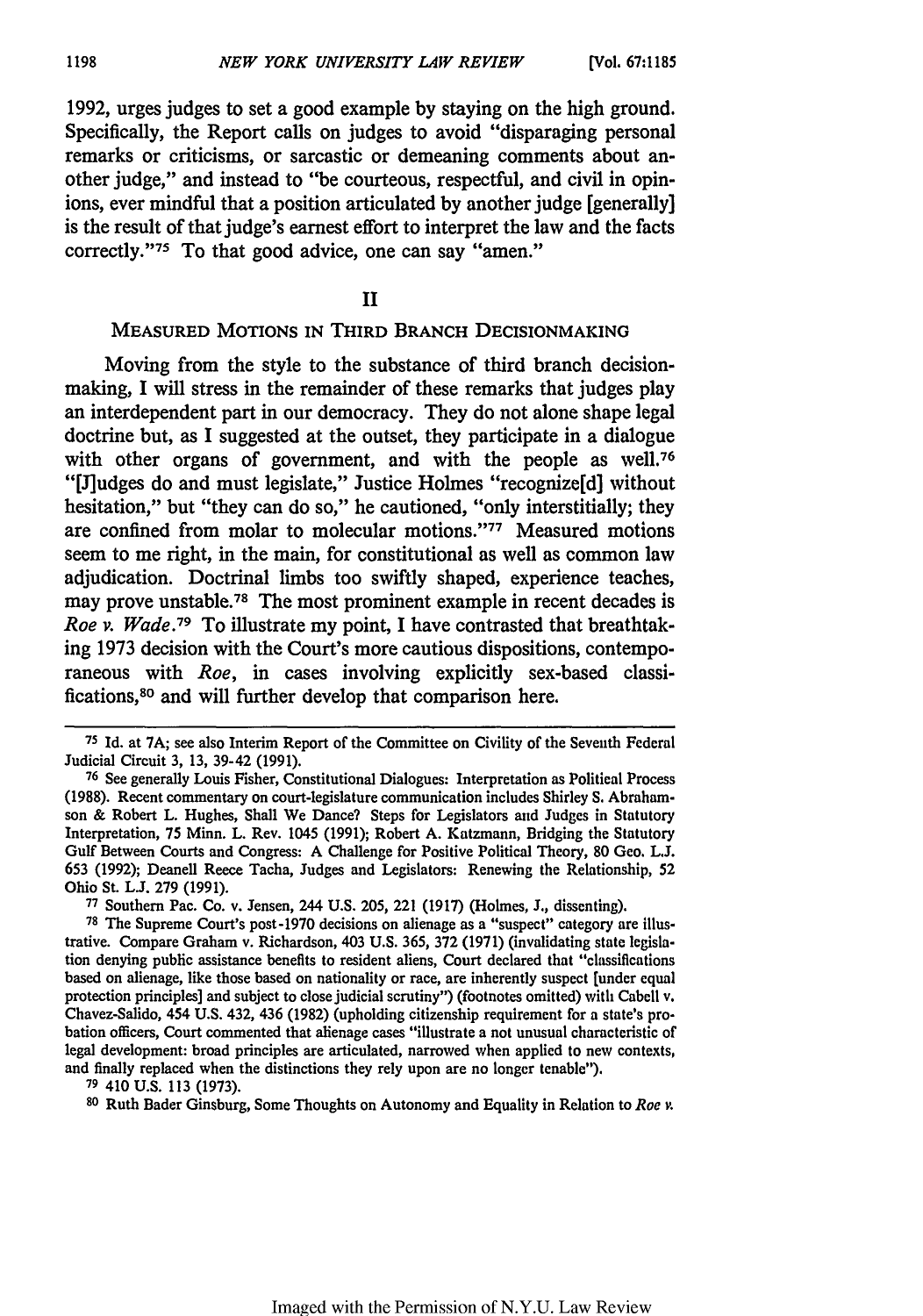1992, urges judges to set a good example by staying on the high ground. Specifically, the Report calls on judges to avoid "disparaging personal remarks or criticisms, or sarcastic or demeaning comments about another judge," and instead to "be courteous, respectful, and civil in opinions, ever mindful that a position articulated by another judge [generally] is the result of that judge's earnest effort to interpret the law and the facts correctly."<sup>75</sup> To that good advice, one can say "amen."

II

### MEASURED MOTIONS IN THIRD BRANCH DECISIONMAKING

Moving from the style to the substance of third branch decisionmaking, I will stress in the remainder of these remarks that judges play an interdependent part in our democracy. They do not alone shape legal doctrine but, as I suggested at the outset, they participate in a dialogue with other organs of government, and with the people as well.<sup>76</sup> "[J]udges do and must legislate," Justice Holmes "recognize[d] without hesitation," but "they can do so," he cautioned, "only interstitially; they are confined from molar to molecular motions."<sup>77</sup> Measured motions seem to me right, in the main, for constitutional as well as common law adjudication. Doctrinal limbs too swiftly shaped, experience teaches, may prove unstable. 78 The most prominent example in recent decades is *Roe v. Wade* **.79** To illustrate my point, I have contrasted that breathtaking **1973** decision with the Court's more cautious dispositions, contemporaneous with *Roe,* in cases involving explicitly sex-based classifications,<sup>80</sup> and will further develop that comparison here.

**<sup>77</sup>**Southern Pac. Co. v. Jensen, 244 U.S. 205, 221 (1917) (Holmes, **J.,** dissenting).

**<sup>75</sup>**Id. at 7A; see also Interim Report of the Committee on Civility of the Seventh Federal Judicial Circuit 3, 13, 39-42 (1991).

**<sup>76</sup>**See generally Louis Fisher, Constitutional Dialogues: Interpretation as Political Process (1988). Recent commentary on court-legislature communication includes Shirley **S.** Abrahamson & Robert L. Hughes, Shall We Dance? Steps for Legislators and Judges in Statutory Interpretation, **75** Minn. L. Rev. 1045 (1991); Robert A. Katzmann, Bridging the Statutory Gulf Between Courts and Congress: A Challenge for Positive Political Theory, **80** Geo. L.J. 653 (1992); Deanell Reece Tacha, Judges and Legislators: Renewing the Relationship, 52 Ohio St. L.J. 279 (1991).

**<sup>78</sup>** The Supreme Court's post-1970 decisions on alienage as a "suspect" category are illustrative. Compare Graham v. Richardson, 403 U.S. 365, 372 (1971) (invalidating state legislation denying public assistance benefits to resident aliens, Court declared that "classifications based on alienage, like those based on nationality or race, are inherently suspect [under equal protection principles] and subject to close judicial scrutiny") (footnotes omitted) with Cabell v. Chavez-Salido, 454 U.S. 432, 436 (1982) (upholding citizenship requirement for a state's probation officers, Court commented that alienage cases "illustrate a not unusual characteristic of legal development: broad principles are articulated, narrowed when applied to new contexts, and finally replaced when the distinctions they rely upon are no longer tenable").

**<sup>79</sup>**410 U.S. 113 (1973).

**<sup>80</sup>**Ruth Bader Ginsburg, Some Thoughts on Autonomy and Equality in Relation to *Roe v.*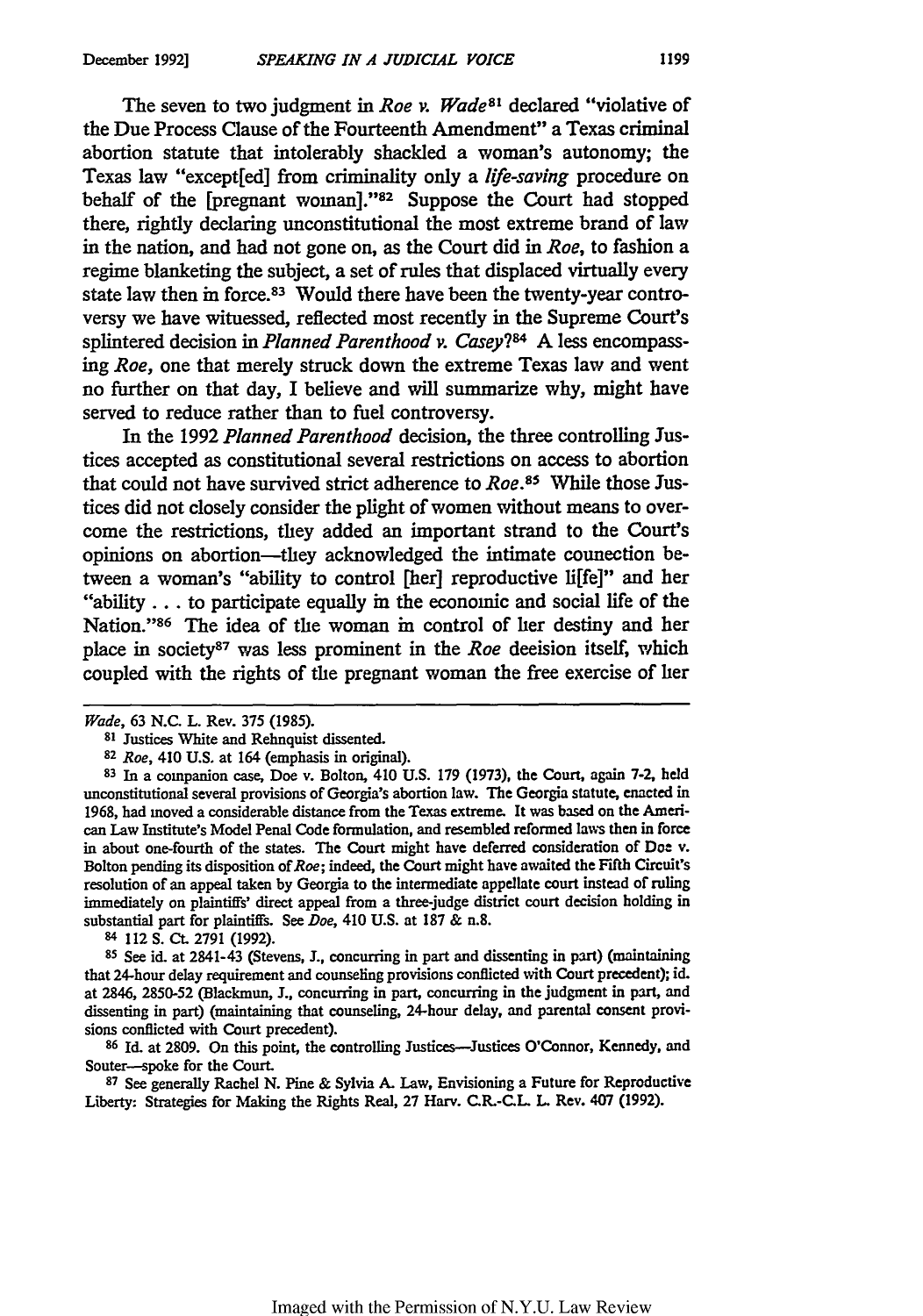The seven to two judgment in *Roe v. Wade81* declared "violative of the Due Process Clause of the Fourteenth Amendment" a Texas criminal abortion statute that intolerably shackled a woman's autonomy; the Texas law "except[ed] from criminality only a *life-saving* procedure on behalf of the [pregnant woman]."<sup>82</sup> Suppose the Court had stopped there, rightly declaring unconstitutional the most extreme brand of law in the nation, and had not gone on, as the Court did in *Roe,* to fashion a regime blanketing the subject, a set of rules that displaced virtually every state law then in force.<sup>83</sup> Would there have been the twenty-year controversy we have witnessed, reflected most recently in the Supreme Court's splintered decision in *Planned Parenthood v. Casey?84* **A** less encompassing *Roe,* one that merely struck down the extreme Texas law and went no further on that day, I believe and will summarize why, might have served to reduce rather than to fuel controversy.

In the **1992** *Planned Parenthood* decision, the three controlling Justices accepted as constitutional several restrictions on access to abortion that could not have survived strict adherence to *Roe.*<sup>85</sup> While those Justices did not closely consider the plight of women without means to overcome the restrictions, they added an important strand to the Court's opinions on abortion-they acknowledged the intimate connection between a woman's "ability to control [her] reproductive liffe]" and her "ability... to participate equally in the economic and social life of the Nation."<sup>86</sup> The idea of the woman in control of her destiny and her place in society 87 was less prominent in the *Roe* decision itself, which coupled with the rights of the pregnant woman the free exercise of her

**<sup>84</sup>**112 **S.** Ct. **2791 (1992).**

**<sup>87</sup>**See generally Rachel N. Pine & Sylvia **A.** Law, Envisioning a Future for Reproductive Liberty: Strategies for Making the Rights Real, **27** Harv. C.R.-C.L L. Rev. 407 **(1992).**

*Wade,* 63 **N.C.** L. Rev. 375 (1985).

**<sup>81</sup>** Justices White and Rehnquist dissented.

**<sup>82</sup>***Roe,* 410 **U.S.** at 164 (emphasis in original).

<sup>83</sup>In a companion case, Doe v. Bolton, 410 **U.S. 179 (1973),** the Court, again **7-2, held** unconstitutional several provisions of Georgia's abortion law. The Georgia statute, enacted in 1968, had moved a considerable distance from the Texas extreme. It was based on the American Law Institute's Model Penal Code formulation, and resembled reformed laws then in force in about one-fourth of the states. The Court might have deferred consideration of **Doe** v. Bolton pending its disposition of *Roe;* indeed, the **Court** might have awaited the Fifth Circuit's resolution of an appeal taken **by** Georgia to the intermediate appellate court instead of ruling immediately on plaintiffs' direct appeal from a three-judge district court decision holding in substantial part for plaintiffs. See *Doe,* 410 **U.S.** at **187** & n.8.

**<sup>85</sup>**See id. at 2841-43 (Stevens, J., concurring in part and dissenting in **part) (maintaining** that 24-hour delay requirement and counseling provisions conflicted with Court precedent); id. at 2846, **2850-52** (Blackmun, **J.,** concurring **in** part, concurring in the judgment in part, and dissenting in part) (maintaining that counseling, 24-hour delay, and parental consent provisions conflicted with Court precedent).

**<sup>86</sup>**Id. at 2809. On this point, the controlling Justices-Justices O'Connor, Kennedy, and Souter-spoke for the Court.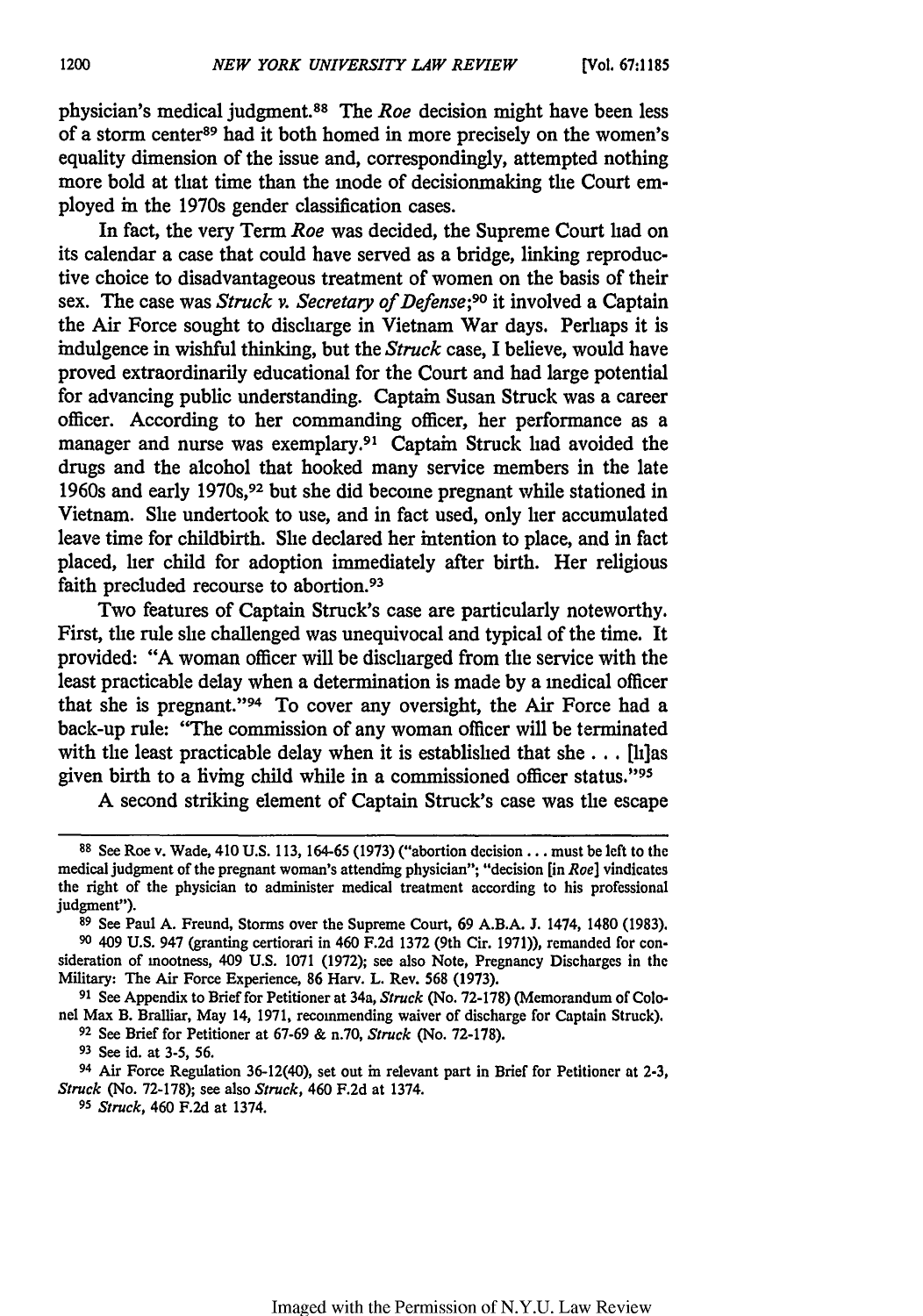physician's medical judgment.88 The *Roe* decision might have been less of a storm center<sup>89</sup> had it both homed in more precisely on the women's equality dimension of the issue and, correspondingly, attempted nothing more bold at that time than the mode of decisionmaking the Court employed in the 1970s gender classification cases.

In fact, the very Term *Roe* was decided, the Supreme Court had on its calendar a case that could have served as a bridge, linking reproductive choice to disadvantageous treatment of women on the basis of their sex. The case was *Struck v. Secretary of Defense;90* it involved a Captain the Air Force sought to discharge in Vietnam War days. Perhaps it is indulgence in wishful thinking, but the *Struck* case, I believe, would have proved extraordinarily educational for the Court and had large potential for advancing public understanding. Captain Susan Struck was a career officer. According to her commanding officer, her performance as a manager and nurse was exemplary.<sup>91</sup> Captain Struck had avoided the drugs and the alcohol that hooked many service members in the late 1960s and early 1970s, 92 but she did become pregnant while stationed in Vietnam. She undertook to use, and in fact used, only her accumulated leave time for childbirth. She declared her intention to place, and in fact placed, her child for adoption immediately after birth. Her religious faith precluded recourse to abortion.<sup>93</sup>

Two features of Captain Struck's case are particularly noteworthy. First, the rule she challenged was unequivocal and typical of the time. It provided: "A woman officer will be discharged from the service with the least practicable delay when a determination is made by a medical officer that she is pregnant."<sup>94</sup> To cover any oversight, the Air Force had a back-up rule: "The commission of any woman officer will be terminated with the least practicable delay when it is established that she **...** [h]as given birth to a living child while in a commissioned officer status."95

A second striking element of Captain Struck's case was the escape

**<sup>92</sup>**See Brief for Petitioner at 67-69 & n.70, *Struck* (No. 72-178).

**<sup>93</sup>**See id. at 3-5, 56.

**<sup>94</sup>**Air Force Regulation 36-12(40), set out in relevant part in Brief for Petitioner at **2-3,** *Struck* (No. 72-178); see also *Struck,* 460 F.2d at 1374.

**<sup>95</sup>***Struck,* 460 F.2d at 1374.

**<sup>88</sup>**See Roe v. Wade, 410 **U.S.** 113, 164-65 (1973) ("abortion decision **...** must be left to the medical judgment of the pregnant woman's attending physician"; "decision [in *Roe]* vindicates the right of the physician to administer medical treatment according to his professional judgment").

**<sup>89</sup>**See Paul A. Freund, Storms over the Supreme Court, **69** A.B.A. J. 1474, 1480 (1983). **90** 409 U.S. 947 (granting certiorari in 460 F.2d 1372 (9th Cir. 1971)), remanded for consideration of mootness, 409 U.S. 1071 (1972); see also Note, Pregnancy Discharges in the Military: The Air Force Experience, 86 Harv. L. Rev. 568 (1973).

**<sup>91</sup>** See Appendix to Brief for Petitioner at 34a, *Struck* (No. 72-178) (Memorandum of Colonel Max B. Bralliar, May 14, 1971, recommending waiver of discharge for Captain Struck).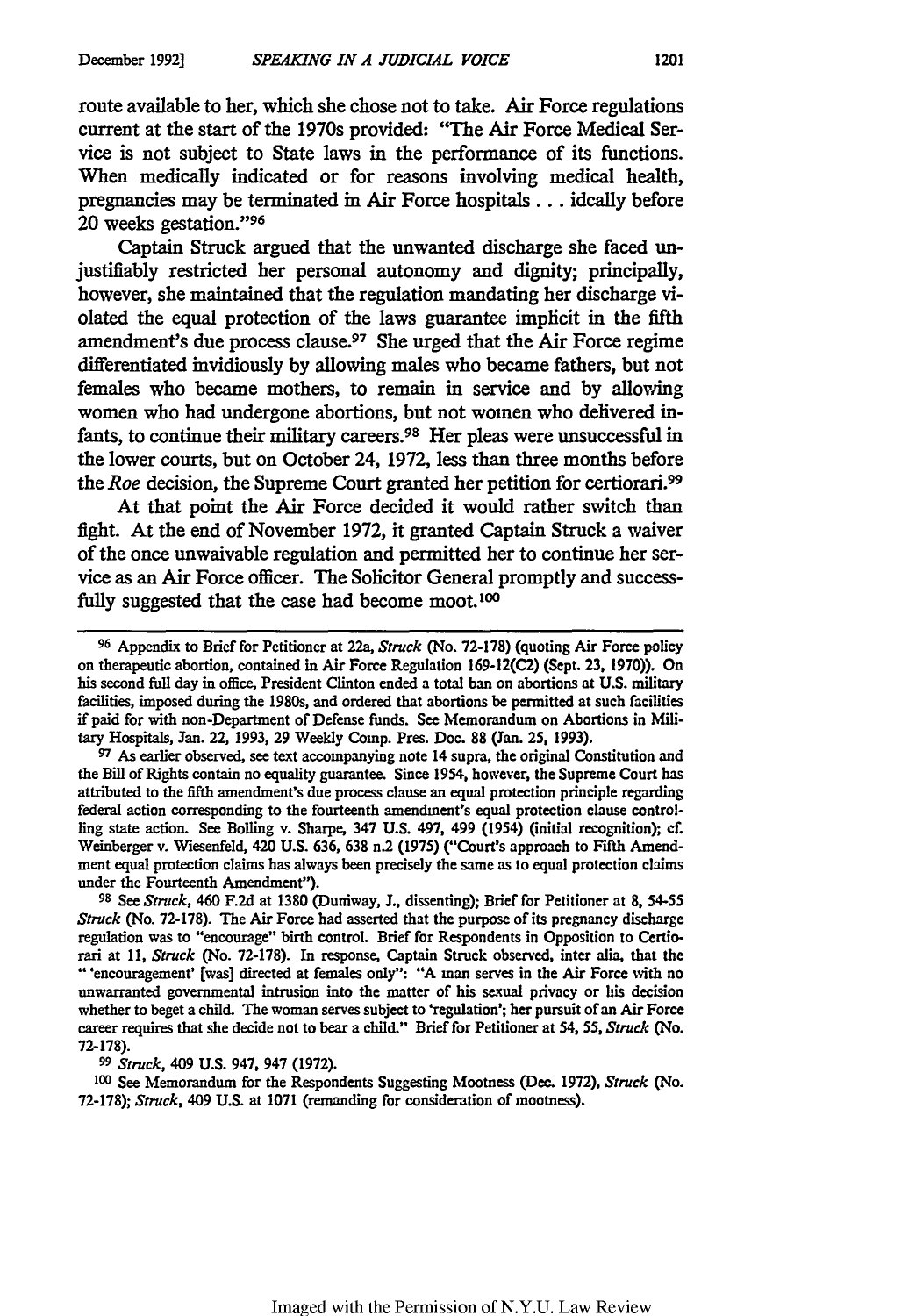route available to her, which she chose not to take. Air Force regulations current at the start of the 1970s provided: "The Air Force Medical Service is not subject to State laws in the performance of its functions. When medically indicated or for reasons involving medical health, pregnancies may be terminated in Air Force hospitals... ideally before 20 weeks gestation."'96

Captain Struck argued that the unwanted discharge she faced unjustifiably restricted her personal autonomy and dignity; principally, however, she maintained that the regulation mandating her discharge violated the equal protection of the laws guarantee implicit in the fifth amendment's due process clause.97 She urged that the Air Force regime differentiated invidiously by allowing males who became fathers, but not females who became mothers, to remain in service and **by** allowing women who had undergone abortions, but not women who delivered infants, to continue their military careers.<sup>98</sup> Her pleas were unsuccessful in the lower courts, but on October 24, **1972,** less than three months before the *Roe* decision, the Supreme Court granted her petition for certiorari. <sup>99</sup>

At that point the Air Force decided it would rather switch than fight. At the end of November **1972,** it granted Captain Struck a waiver of the once unwaivable regulation and permitted her to continue her service as an Air Force officer. The Solicitor General promptly and successfully suggested that the case had become moot.<sup>100</sup>

**<sup>97</sup>**As earlier observed, see text accompanying note 14 supra, the original Constitution and the Bill of Rights contain no equality guarantee. Since 1954, however, the Supreme Court has attributed to the fifth amendment's due process clause an equal protection principle regarding federal action corresponding to the fourteenth amendment's equal protection clause controlling state action. See Boiling v. Sharpe, 347 **U.S.** 497, 499 (1954) (initial recognition); cf. Weinberger v. Wiesenfeld, 420 **U.S.** 636, **638** n.2 **(1975)** ("Court's approach to Fifth Amendment equal protection claims has always been precisely the same as to equal protection claims under the Fourteenth Amendment").

**<sup>98</sup>**See *Struck,* 460 **F.2d** at **1380** (Duniway, *J.,* dissenting); Brief for Petitioner at **8, 54-55** *Struck (No.* **72-178).** The Air Force had asserted that the purpose of its pregnancy discharge regulation was to "encourage" birth control. Brief for Respondents in Opposition to Certiorari at **11,** *Struck (No.* **72-178).** In response, Captain Struck observed, inter **atia,** that the .'encouragement' [was] directed at females only": **"A** man serves in the Air Force with no unwarranted governmental intrusion into the matter of his sexual privacy or his decision whether to beget a child. The woman serves subject to 'regulation'; her pursuit of an Air Force career requires that she decide not to bear a child." Brief for Petitioner at 54, *55, Struck (No.* **72-178).**

**<sup>99</sup>***Struck,* 409 **U.S.** 947, 947 **(1972).**

**<sup>100</sup>**See Memorandum for the Respondents Suggesting Mootness (Dec. **1972).** *Struck (No.* 72-178); *Struck,* 409 U.S. at 1071 (remanding for consideration of mootness).

**<sup>96</sup>**Appendix to Brief for Petitioner at 22a, *Struck* (No. **72-178)** (quoting Air Force policy on therapeutic abortion, contained in Air Force Regulation **169-12(C2)** (Sept. **23, 1970)).** On his second **full** day in office, President Clinton ended a total ban on abortions at **U.S.** military facilities, imposed during the 1980s, and ordered that abortions be permitted at such facilities if paid for with non-Department of Defense funds. See Memorandum on Abortions in **Mili**tary Hospitals, Jan. 22, **1993, 29** Weekly Comp. Pres. Doc. **88 (Jan.** 25, **1993).**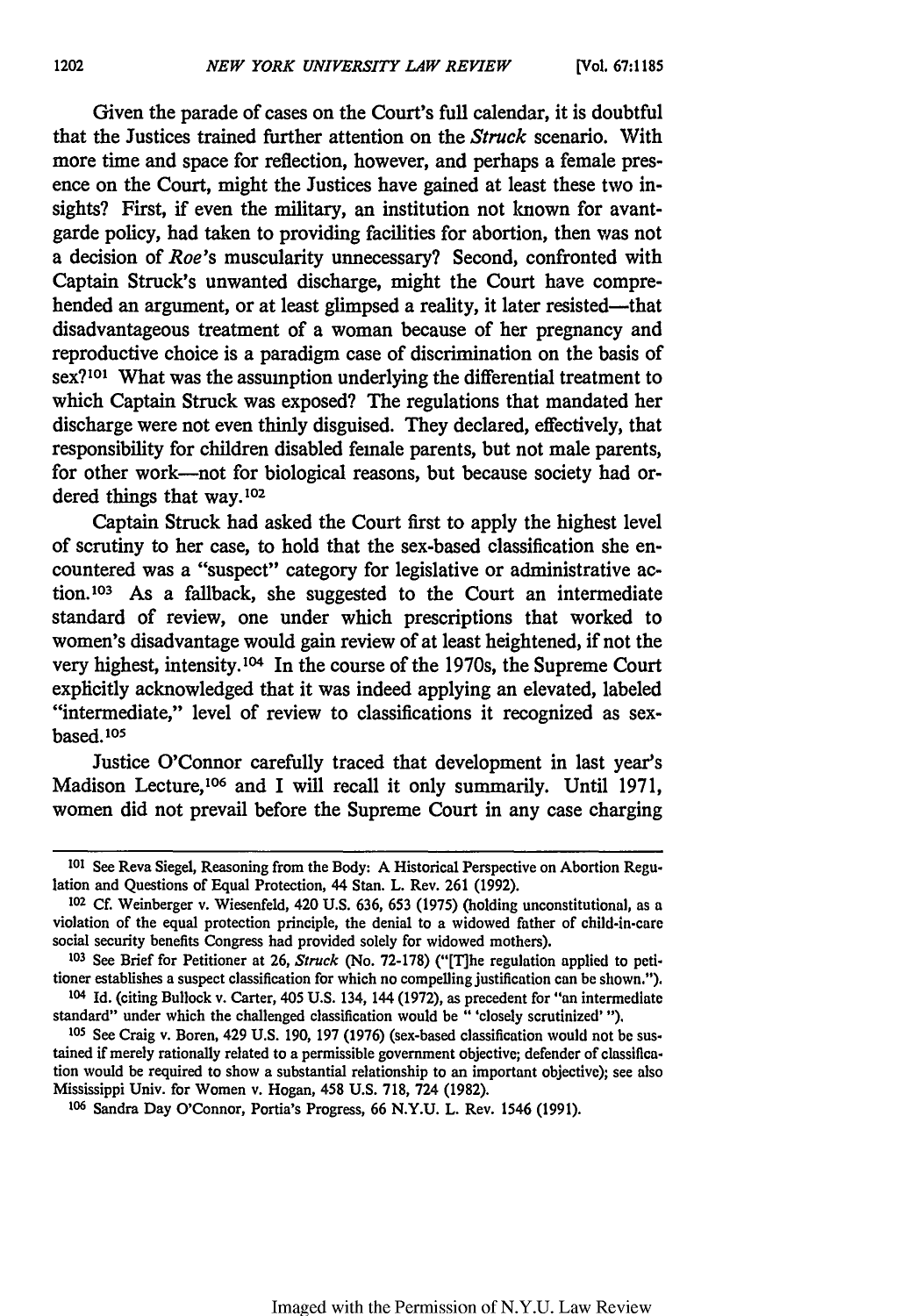Given the parade of cases on the Court's full calendar, it is doubtful that the Justices trained further attention on the *Struck* scenario. With more time and space for reflection, however, and perhaps a female presence on the Court, might the Justices have gained at least these two insights? First, if even the military, an institution not known for avantgarde policy, had taken to providing facilities for abortion, then was not a decision of *Roe's* muscularity unnecessary? Second, confronted with Captain Struck's unwanted discharge, might the Court have comprehended an argument, or at least glimpsed a reality, it later resisted—that disadvantageous treatment of a woman because of her pregnancy and reproductive choice is a paradigm case of discrimination on the basis of sex?<sup>101</sup> What was the assumption underlying the differential treatment to which Captain Struck was exposed? The regulations that mandated her discharge were not even thinly disguised. They declared, effectively, that responsibility for children disabled female parents, but not male parents, for other work-not for biological reasons, but because society had ordered things that way.102

Captain Struck had asked the Court first to apply the highest level of scrutiny to her case, to hold that the sex-based classification she encountered was a "suspect" category for legislative or administrative ac**tion.103** As a fallback, she suggested to the Court an intermediate standard of review, one under which prescriptions that worked to women's disadvantage would gain review of at least heightened, if not the very highest, intensity.104 In the course of the 1970s, the Supreme Court explicitly acknowledged that it was indeed applying an elevated, labeled "intermediate," level of review to classifications it recognized as sexbased.105

Justice O'Connor carefully traced that development in last year's Madison Lecture,<sup>106</sup> and I will recall it only summarily. Until 1971, women did not prevail before the Supreme Court in any case charging

Mississippi Univ. **for** Women v. Hogan, 458 **U.S. 718,** 724 **(1982). <sup>106</sup>**Sandra Day O'Connor, Portia's Progress, **66 N.Y.U.** L. Rev. 1546 **(1991).**

**<sup>101</sup>** See Reva Siegel, Reasoning from the Body: **A** Historical Perspective on Abortion Regulation and Questions of Equal Protection, 44 Stan. L. Rev. **261 (1992).**

**<sup>102</sup> Cf.** Weinberger v. Wiesenfeld, 420 **U.S. 636, 653 (1975)** (holding unconstitutional, as a violation of the equal protection principle, the denial to a widowed father of child-in-care social security benefits Congress had provided solely for widowed mothers).

**<sup>103</sup>** See Brief for Petitioner at **26,** *Struck* (No. **72-178)** ("[T]he regulation applied to petitioner establishes a suspect classification for which no compelling justification can be shown."). **<sup>104</sup>**Id. (citing Bullock v. Carter, 405 **U.S.** 134, 144 **(1972),** as precedent for "an intermediate

standard" under which the challenged classification would be "'closely scrutinized' **"). 105** See Craig v. Boren, 429 **U.S. 190, 197 (1976)** (sex-based classification would not **be** sustained if merely rationally related to a permissible government objective; defender of classification would be required to show a substantial relationship to an important objective); see also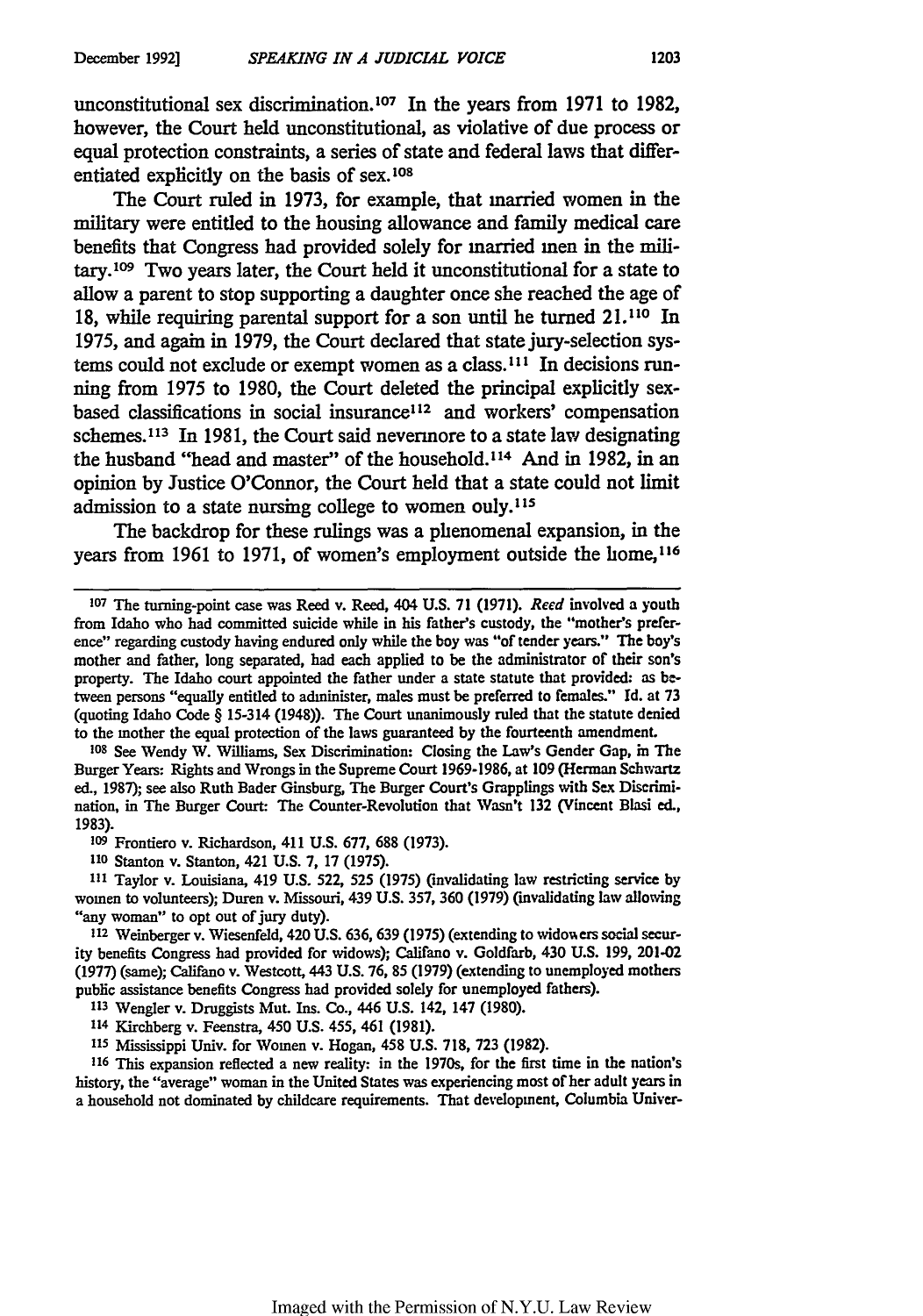unconstitutional sex discrimination.<sup>107</sup> In the years from 1971 to 1982, however, the Court held unconstitutional, as violative of due process or equal protection constraints, a series of state and federal laws that differentiated explicitly on the basis of sex. **<sup>108</sup>**

The Court ruled in 1973, for example, that married women in the military were entitled to the housing allowance and family medical care benefits that Congress had provided solely for married men in the **mili**tary. 0 9 Two years later, the Court held it unconstitutional for a state to allow a parent to stop supporting a daughter once she reached the age of 18, while requiring parental support for a son until he turned 21.110 In 1975, and again in **1979,** the Court declared that state jury-selection systems could not exclude or exempt women as a class.<sup>111</sup> In decisions run-<br>ning from 1975 to 1980, the Court deleted the principal explicitly sexbased classifications in social insurance<sup>112</sup> and workers' compensation schemes.<sup>113</sup> In 1981, the Court said nevermore to a state law designating the husband "head and master" of the household."14 And in 1982, in an opinion by Justice O'Connor, the Court held that a state could not limit admission to a state nursing college to women ouly.<sup>115</sup>

The backdrop for these rulings was a phenomenal expansion, in the years from 1961 to 1971, of women's employment outside the home,<sup>116</sup>

**<sup>108</sup>**See Wendy W. Williams, Sex Discrimination: Closing the Law's Gender Gap, in The Burger Years: Rights and Wrongs in the Supreme Court **1969-1986,** at **109** (Herman Schwartz ed., **1987);** see also Ruth Bader Ginsburg, The Burger Court's Grapplings with Sex Discrimination, in The Burger Court: The Counter-Revolution that Wasn't **132** (Vincent Blasi ed., **1983).**

**<sup>109</sup>**Frontiero v. Richardson, 411 **U.S.** 677, **688 (1973).**

**<sup>110</sup>**Stanton v. Stanton, 421 **U.S. 7, 17 (1975).**

**<sup>111</sup>**Taylor v. Louisiana, 419 **U.S. 522, 525 (1975)** (invalidating law restricting service **by** women to volunteers); Duren v. Missouri, 439 **U.S. 357, 360 (1979)** (invalidating law allowing "any woman" to opt out of jury duty).

**<sup>113</sup>**Wengler v. Druggists Mut. Ins. Co., 446 U.S. 142, 147 (1980).

**<sup>114</sup>**Kirchberg v. Feenstra, 450 U.S. 455, 461 (1981).

**<sup>115</sup>**Mississippi Univ. for Women v. Hogan, 458 U.S. 718, 723 **(1982).**

**<sup>116</sup>**This expansion reflected a new reality: in the 1970s, for the first time in the nation's history, the "average" woman in the United States was experiencing most **of** her adult years in a household not dominated by childcare requirements. That development, Columbia Univer-

**<sup>107</sup>**The turning-point case was Reed v. Reed, 404 **U.S. 71 (1971).** *Reed* involved a youth from Idaho who had committed suicide while in his father's custody, the "mother's preference" regarding custody having endured only while the boy was "of tender years." The boy's mother and father, long separated, had each applied to be the administrator of their son's property. The Idaho court appointed the father under a state statute that provided: as **be**tween persons "equally entitled to administer, males must be preferred to females." **Id.** at **73** (quoting Idaho Code § 15-314 (1948)). The Court unanimously ruled that the statute denied to the mother the equal protection of the laws guaranteed **by** the fourteenth amendment.

**<sup>112</sup>** Weinberger v. Wiesenfeld, 420 **U.S. 636, 639 (1975)** (extending to widowers social security benefits Congress had provided for widows); Califano v. Goldfarb, 430 **U.S. 199,** 201-02 **(1977)** (same); Califano v. Westcott, 443 **U.S. 76, 85 (1979)** (extending to unemployed mothers public assistance benefits Congress had provided solely for unemployed fathers).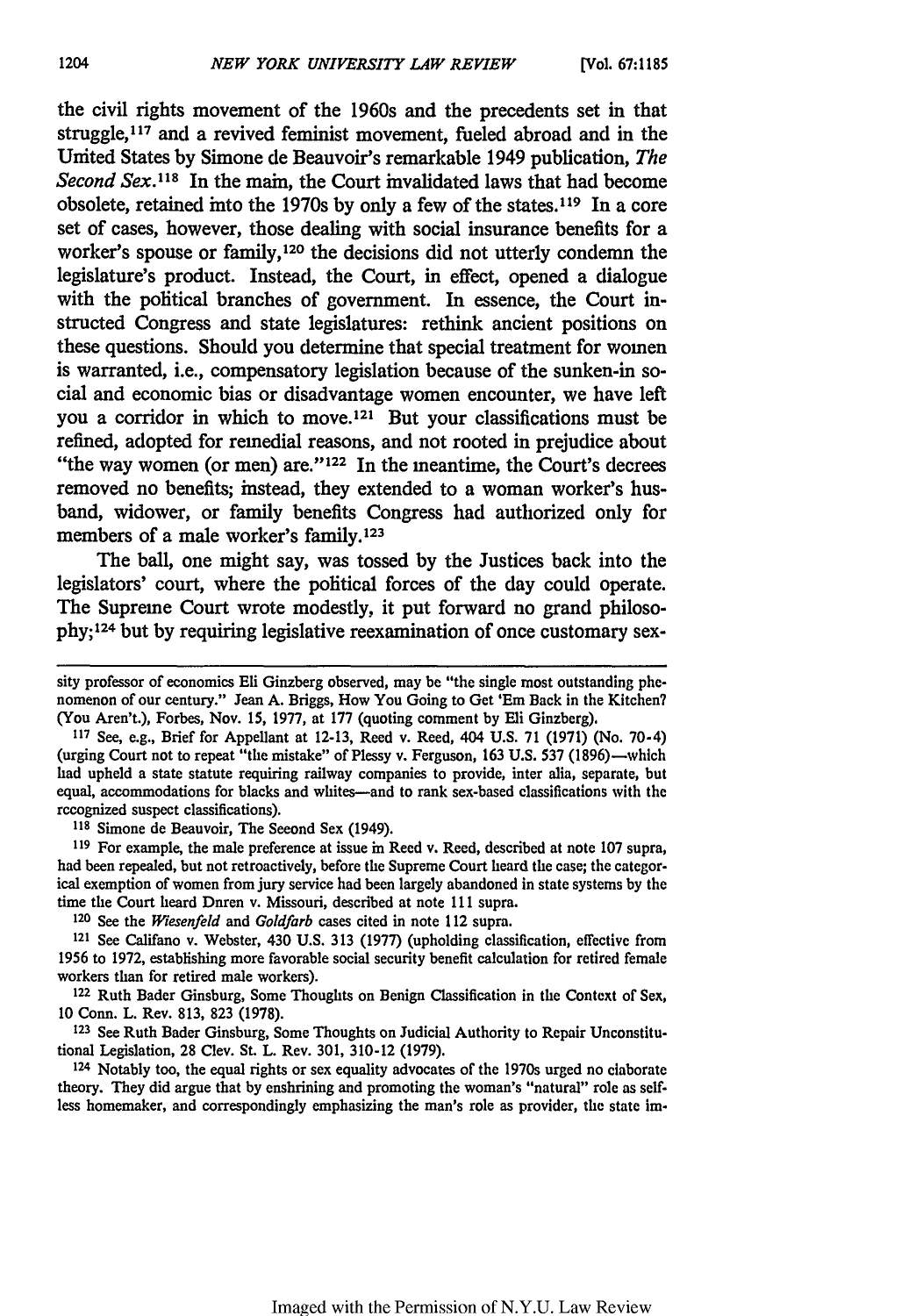the civil rights movement of the 1960s and the precedents set in that struggle, 117 and a revived feminist movement, fueled abroad and in the United States by Simone de Beauvoir's remarkable 1949 publication, *The Second Sex.118* In the main, the Court invalidated laws that had become obsolete, retained into the 1970s by only a few of the states.<sup>119</sup> In a core set of cases, however, those dealing with social insurance benefits for a worker's spouse or family, 120 the decisions did not utterly condemn the legislature's product. Instead, the Court, in effect, opened a dialogue with the political branches of government. In essence, the Court instructed Congress and state legislatures: rethink ancient positions on these questions. Should you determine that special treatment for women is warranted, i.e., compensatory legislation because of the sunken-in social and economic bias or disadvantage women encounter, we have left you a corridor in which to move.<sup>121</sup> But your classifications must be refined, adopted for remedial reasons, and not rooted in prejudice about "the way women (or men) are."122 In the meantime, the Court's decrees removed no benefits; instead, they extended to a woman worker's husband, widower, or family benefits Congress had authorized only for members of a male worker's family.<sup>123</sup>

The ball, one might say, was tossed by the Justices back into the legislators' court, where the political forces of the day could operate. The Supreme Court wrote modestly, it put forward no grand philosophy; **124** but by requiring legislative reexamination of once customary sex-

**<sup>117</sup>**See, e.g., Brief for Appellant at 12-13, Reed v. Reed, 404 U.S. 71 (1971) (No. 70-4) (urging Court not to repeat "the mistake" of Plessy v. Ferguson, 163 U.S. 537 (1896)-which had upheld a state statute requiring railway companies to provide, inter alia, separate, but equal, accommodations for blacks and whites-and to rank sex-based classifications with the recognized suspect classifications).

**<sup>118</sup>**Simone de Beauvoir, The Second Sex (1949).

**<sup>119</sup>**For example, the male preference at issue in Reed v. Reed, described at note 107 supra, had been repealed, but not retroactively, before the Supreme Court heard the case; the categorical exemption of women from jury service had been largely abandoned in state systems **by** the time the Court heard Duren v. Missouri, described at note 111 supra.

**<sup>120</sup>**See the *Wiesenfeld and Goldfarb* cases cited in note 112 supra.

**121** See Califano v. Webster, 430 U.S. 313 (1977) (upholding classification, effective from 1956 to 1972, establishing more favorable social security benefit calculation for retired female workers than for retired male workers).

**<sup>122</sup>**Ruth Bader Ginsburg, Some Thoughts on Benign Classification in the Context of Sex, **10** Conn. L. Rev. 813, 823 (1978).

**123** See Ruth Bader Ginsburg, Some Thoughts on Judicial Authority to Repair Unconstitutional Legislation, 28 Clev. St. L. Rev. 301, 310-12 (1979).

<sup>124</sup> Notably too, the equal rights or sex equality advocates of the 1970s urged no claborate theory. They did argue that by enshrining and promoting the woman's "natural" role as selfless homemaker, and correspondingly emphasizing the man's role as provider, the state im-

sity professor of economics Eli Ginzberg observed, may be "the single most outstanding phe nomenon of our century." Jean A. Briggs, How You Going to Get **'Em** Back in the Kitchen? (You Aren't.), Forbes, Nov. 15, 1977, at 177 (quoting comment by Eli Ginzberg),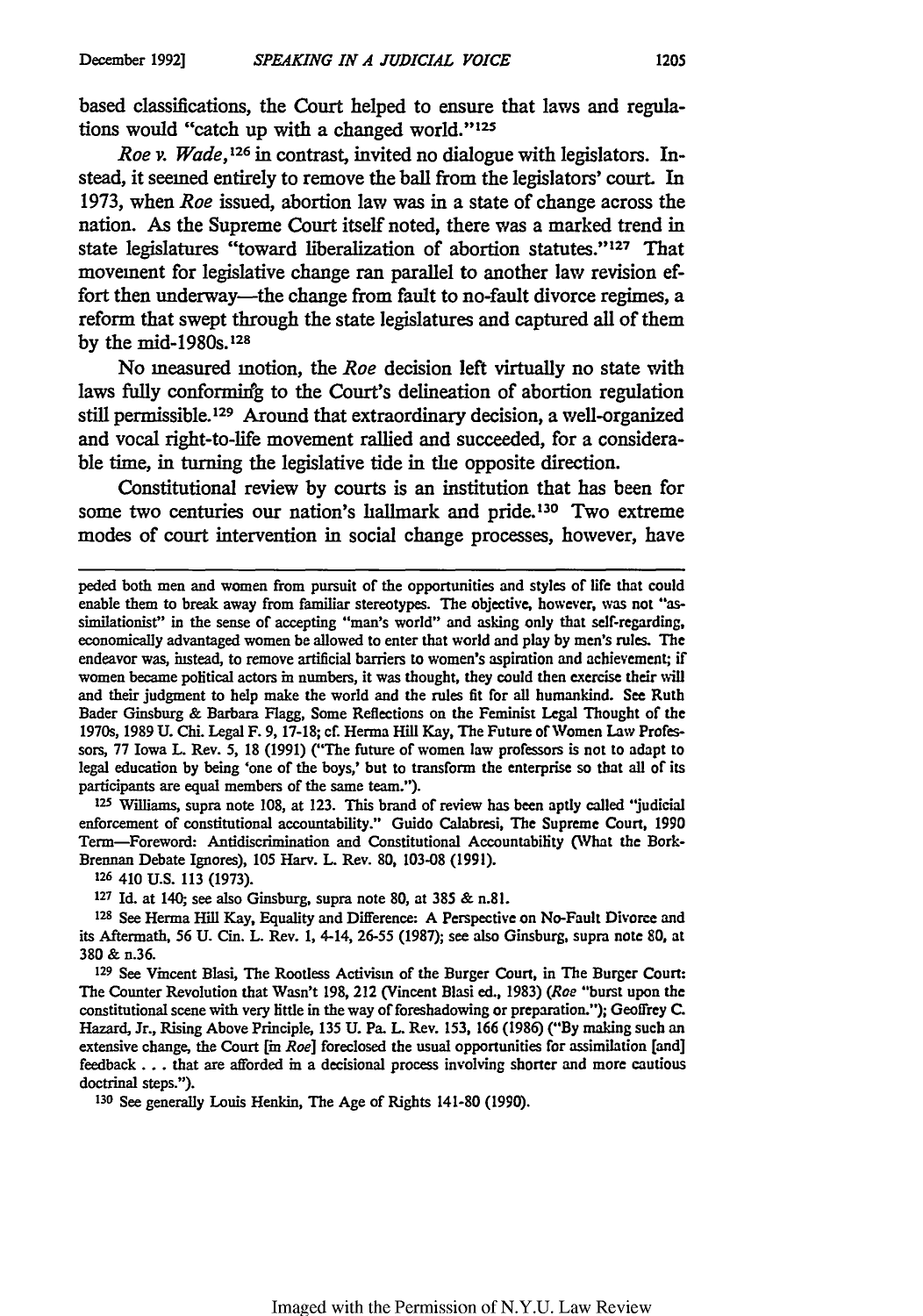based classifications, the Court helped to ensure that laws and regulations would "catch up with a changed world."<sup>125</sup>

*Roe v. Wade, <sup>126</sup>*in contrast, invited no dialogue with legislators. Instead, it seemed entirely to remove the ball from the legislators' court. In **1973,** when *Roe* issued, abortion law was in a state of change across the nation. As the Supreme Court itself noted, there was a marked trend in state legislatures "toward liberalization of abortion statutes."<sup>127</sup> That movement for legislative change ran parallel to another law revision effort then underway-the change from fault to no-fault divorce regimes, a reform that swept through the state legislatures and captured all of them **by** the mid-1980s. <sup>128</sup>

No measured motion, the *Roe* decision left virtually no state with laws fully conforming to the Court's delineation of abortion regulation still permissible.<sup>129</sup> Around that extraordinary decision, a well-organized and vocal right-to-life movement rallied and succeeded, for a considerable time, in turning the legislative tide in the opposite direction.

Constitutional review **by** courts is an institution that has been for some two centuries our nation's hallmark and pride.<sup>130</sup> Two extreme modes of court intervention in social change processes, however, have

**<sup>125</sup>**Williams, supra note **108,** at **123.** This brand of review has been aptly called "judicial enforcement of constitutional accountability." Guido Calabresi, The Supreme Court, **1990** Term-Foreword: Antidiscrimination and Constitutional Accountability (What the Bork-Brennan Debate Ignores), **105** Harv. L. Rev. **80, 103-08 (1991).**

**<sup>126</sup>**410 **U.S. 113 (1973).**

**<sup>127</sup>**Id. at 140; see also Ginsburg, supra note **80,** at **385 &** n.81.

**<sup>128</sup>**See Herma **Hill** Kay, Equality and Difference: A Perspective on No-Fault Divorce and its Aftermath, **56 U. Cin.** L. Rev. **1,** 4-14, **26-55 (1987);** see also Ginsburg, supra note **80,** at **380 &** n.36.

**<sup>129</sup>**See Vincent Blasi, The Roofless Activism of the Burger Court, in The Burger Court: The Counter Revolution that Wasn't 198, 212 (Vincent Blasi **ed., 1983)** *(Roe* "burst upon the constitutional scene with very little in the way of foreshadowing or preparation."); Geoffrey C. Hazard, Jr., Rising Above Principle, **135 U.** Pa. L Rev. **153, 166** (1986) **("By** making such an extensive change, the Court [in *Roe]* foreclosed the usual opportunities for assimilation [and] feedback... that are afforded in a decisional process involving shorter and more cautious doctrinal steps.").

**<sup>130</sup>**See generally Louis Henkin, The Age of Rights 141-80 (1990).

peded both men and women from pursuit of the opportunities and styles of life that could enable them to break away from familiar stereotypes. **The** objective, however, was not "assimilationist" in the sense of accepting "man's world" and asking only that self-regarding, economically advantaged women be allowed to enter that world and play **by** men's rules. The endeavor was, instead, to remove artificial barriers to women's aspiration and achievement; if women became political actors in numbers, it was thought, they could then exercise their **will** and their judgment to help make the world and the rules fit **for all** humankind. See Ruth Bader Ginsburg **&** Barbara Flagg, Some Reflections on the Feminist **Legal** Thought of the 1970s, **1989 U.** Chi. Legal F. **9, 17-18; cf.** Henna **Hill** Kay, The Future or Women Law Proressors, **77** Iowa L. Rev. **5, 18 (1991)** ("The future of women law proressors is not to adapt to legal education **by** being 'one of the boys,' but to transform the enterprise so that **all of** its participants are equal members of the same team.").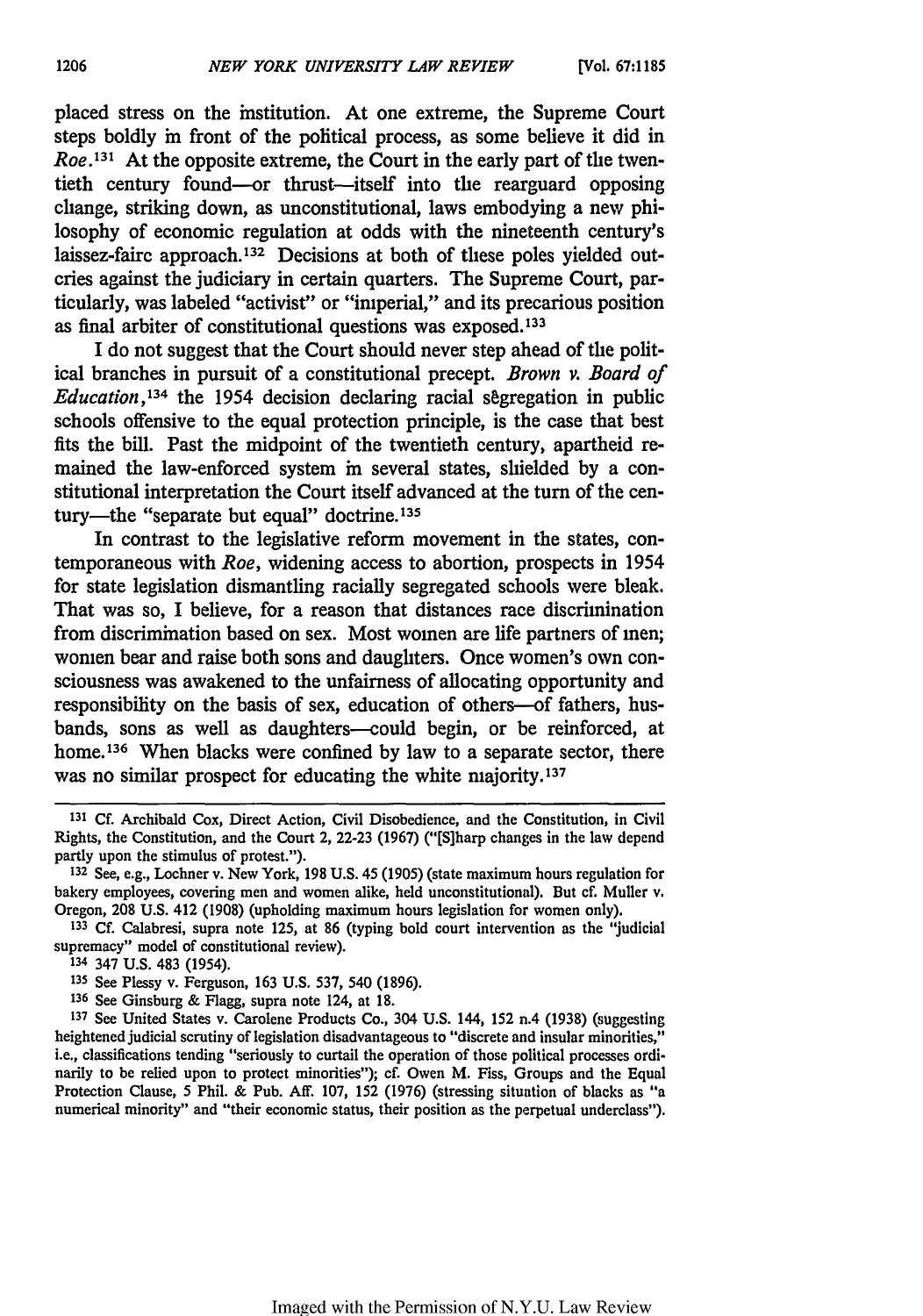**[Vol. 67:1185**

placed stress on the institution. At one extreme, the Supreme Court steps boldly in front of the political process, as some believe it did in *Roe.*<sup>131</sup> At the opposite extreme, the Court in the early part of the twentieth century found-or thrust-itself into the rearguard opposing change, striking down, as unconstitutional, laws embodying a new philosophy of economic regulation at odds with the nineteenth century's laissez-fairc approach.<sup>132</sup> Decisions at both of these poles yielded outcries against the judiciary in certain quarters. The Supreme Court, particularly, was labeled "activist" or "imperial," and its precarious position as final arbiter of constitutional questions was exposed. <sup>133</sup>

I do not suggest that the Court should never step ahead of the political branches in pursuit of a constitutional precept. *Brown v. Board of Education*,<sup>134</sup> the 1954 decision declaring racial segregation in public schools offensive to the equal protection principle, is the case that best fits the bill. Past the midpoint of the twentieth century, apartheid remained the law-enforced system in several states, shielded by a constitutional interpretation the Court itself advanced at the turn of the century-the "separate but equal" doctrine.<sup>135</sup>

In contrast to the legislative reform movement in the states, contemporaneous with *Roe,* widening access to abortion, prospects in 1954 for state legislation dismantling racially segregated schools were bleak. That was so, I believe, for a reason that distances race discrimination from discrimination based on sex. Most women are life partners of men; women bear and raise both sons and daughters. Once women's own consciousness was awakened to the unfairness of allocating opportunity and responsibility on the basis of sex, education of others-of fathers, husbands, sons as well as daughters-could begin, or be reinforced, at home.<sup>136</sup> When blacks were confined by law to a separate sector, there was no similar prospect for educating the white majority.<sup>137</sup>

**<sup>131</sup>** Cf. Archibald Cox, Direct Action, Civil Disobedience, and the Constitution, in Civil Rights, the Constitution, and the Court 2, 22-23 (1967) ("[S]harp changes in the law depend partly upon the stimulus of protest.").

**<sup>132</sup>**See, e.g., Lochner v. New York, 198 U.S. 45 (1905) (state maximum hours regulation for bakery employees, covering men and women alike, held unconstitutional). But cf. Muller v. Oregon, 208 U.S. 412 (1908) (upholding maximum hours legislation for women only).

**<sup>133</sup>Cf.** Calabresi, supra note 125, at 86 (typing bold court intervention as the "judicial supremacy" model of constitutional review).

**<sup>134</sup>**347 U.S. 483 (1954).

**<sup>135</sup>** See Plessy v. Ferguson, 163 U.S. 537, 540 (1896).

**<sup>136</sup>**See Ginsburg & Flagg, supra note 124, at 18.

**<sup>137</sup>**See United States v. Carolene Products Co., 304 U.S. 144, 152 n.4 (1938) (suggesting heightened judicial scrutiny of legislation disadvantageous to "discrete and insular minorities," i.e., classifications tending "seriously to curtail the operation of those political processes ordinarily to be relied upon to protect minorities"); cf. Owen M. Fiss, Groups and the Equal Protection Clause, 5 Phil. & Pub. Aff. 107, 152 (1976) (stressing situation of blacks as "a numerical minority" and "their economic status, their position as the perpetual underclass").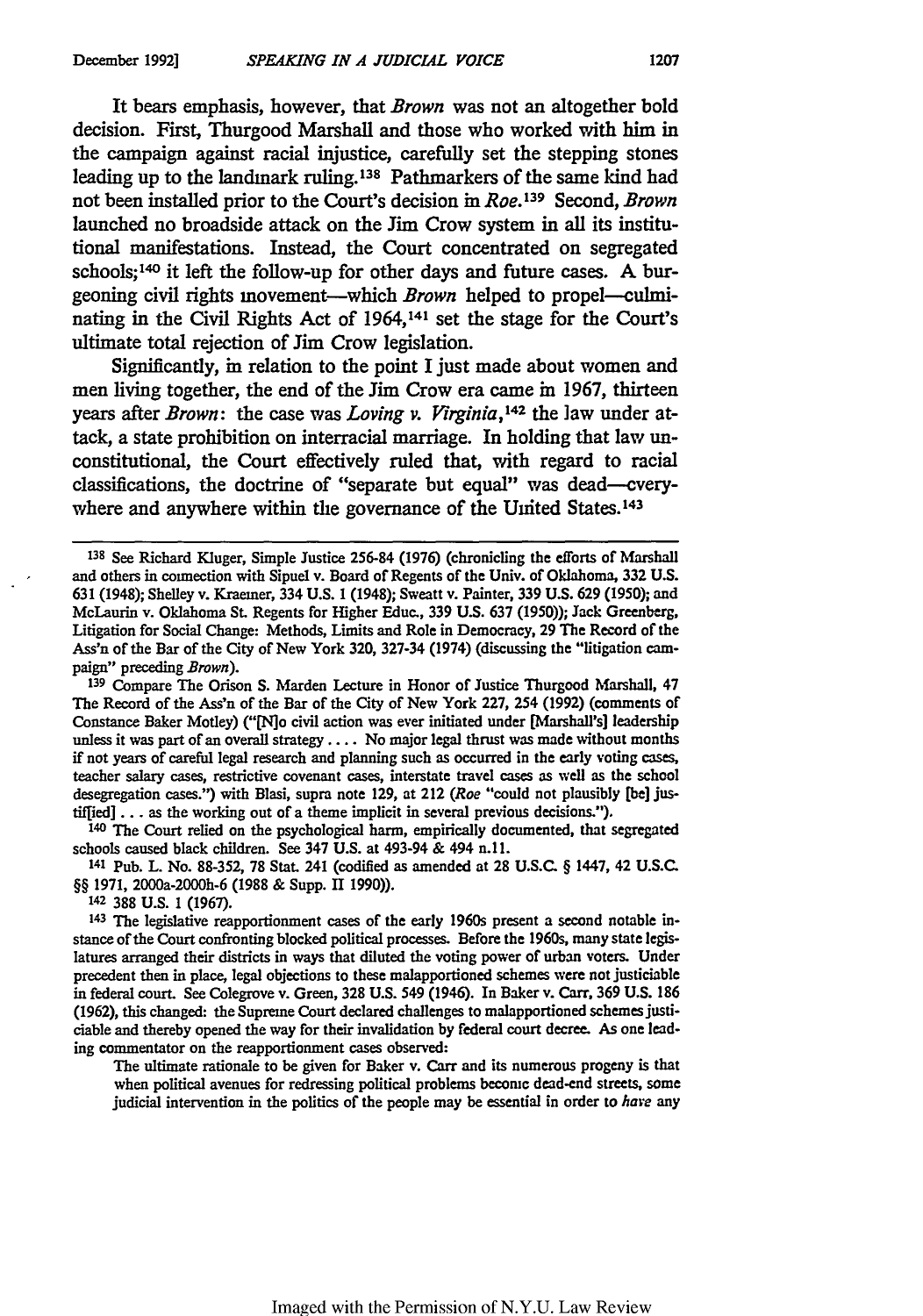It bears emphasis, however, that *Brown* was not an altogether bold decision. First, Thurgood Marshall and those who worked with him in the campaign against racial injustice, carefully set the stepping stones leading up to the landmark ruling.<sup>138</sup> Pathmarkers of the same kind had not been installed prior to the Court's decision in *Roe*.<sup>139</sup> Second, *Brown* launched no broadside attack on the Jim Crow system in all its institutional manifestations. Instead, the Court concentrated **on** segregated schools;140 it left the follow-up for other days and future cases. **A** burgeoning civil rights movement-which *Brown* helped to propel-culminating in the Civil Rights Act of 1964,141 set the stage for the Court's ultimate total rejection of Jim Crow legislation.

Significantly, in relation to the point I just made about women and men living together, the end of the Jim Crow era came in **1967,** thirteen years after *Brown:* the case was *Loving v. Virginia,'<sup>42</sup>*the law under attack, a state prohibition on interracial marriage. In holding that law unconstitutional, the Court effectively ruled that, with regard to racial classifications, the doctrine of "separate but equal" was dead-everywhere and anywhere within the governance of the United States.<sup>143</sup>

**<sup>139</sup>**Compare The Orison S. Marden Lecture in Honor of Justice Thurgood Marshall, 47 The Record of the Ass'n of the Bar of the City of New York **227,** 254 **(1992)** (comments of Constance Baker Motley) ("[N]o civil action was ever initiated under [Marshall's] leadership unless it was part of an overall strategy .... No major legal thrust was made without months if not years of careful legal research and planning such as occurred in the early voting cases, teacher salary cases, restrictive covenant cases, interstate travel cases as well as the school desegregation cases.") with Blasi, supra note 129, at 212 *(Roe* "could not plausibly [be] justiftied] **..** as the working out of a theme implicit in several previous decisions.").

140 The Court relied on the psychological harm, empirically documented, that segregated schools caused black children. See 347 U.S. at 493-94 & 494 n.1l.

141 Pub. L. No. 88-352, 78 Stat. 241 (codified as amended at **28** U.S.C. § 1447, 42 U.S.C. §§ 1971, 2000a-2000h-6 (1988 & Supp. II 1990)).

<sup>142</sup>**388** U.S. 1 (1967).

143 The legislative reapportionment cases of the early 1960s present a second notable instance of the Court confronting blocked political processes. Before the 1960s, many state legislatures arranged their districts in ways that diluted the voting power of urban voters. Under precedent then in place, legal objections to these malapportioned schemes were not justiciable in federal court. See Colegrove v. Green, **328** U.S. 549 (1946). In Baker v. Carr, 369 **U.S. 186** (1962), this changed: the Supreme Court declared challenges to malapportioned schemesjusticiable and thereby opened the way for their invalidation **by** federal court decree. As one leading commentator on the reapportionment cases observed:

The ultimate rationale to be given for Baker v. Carr and its numerous progeny is that when political avenues for redressing political problems become dead-end streets, some judicial intervention in the politics of the people may be essential in order to *hare* any

<sup>138</sup> See Richard Kiuger, Simple Justice 256-84 (1976) (chronicling the eforts of Marshall and others in connection with Sipuel v. Board of Regents of the Univ. of Oklahoma, **332** U.S. 631 (1948); Shelley v. Kraemer, 334 U.S. **1** (1948); Sweatt v. Painter, **339** U.S. **629 (1950);** and McLaurin v. Oklahoma St. Regents for Higher Educ., **339** U.S. **637 (1950));** Jack Greenberg, Litigation for Social Change: Methods, Limits and Role in Democracy, **29** The Record of the Ass'n of the Bar of the City of New York 320, 327-34 (1974) (discussing the "litigation campaign" preceding *Brown).*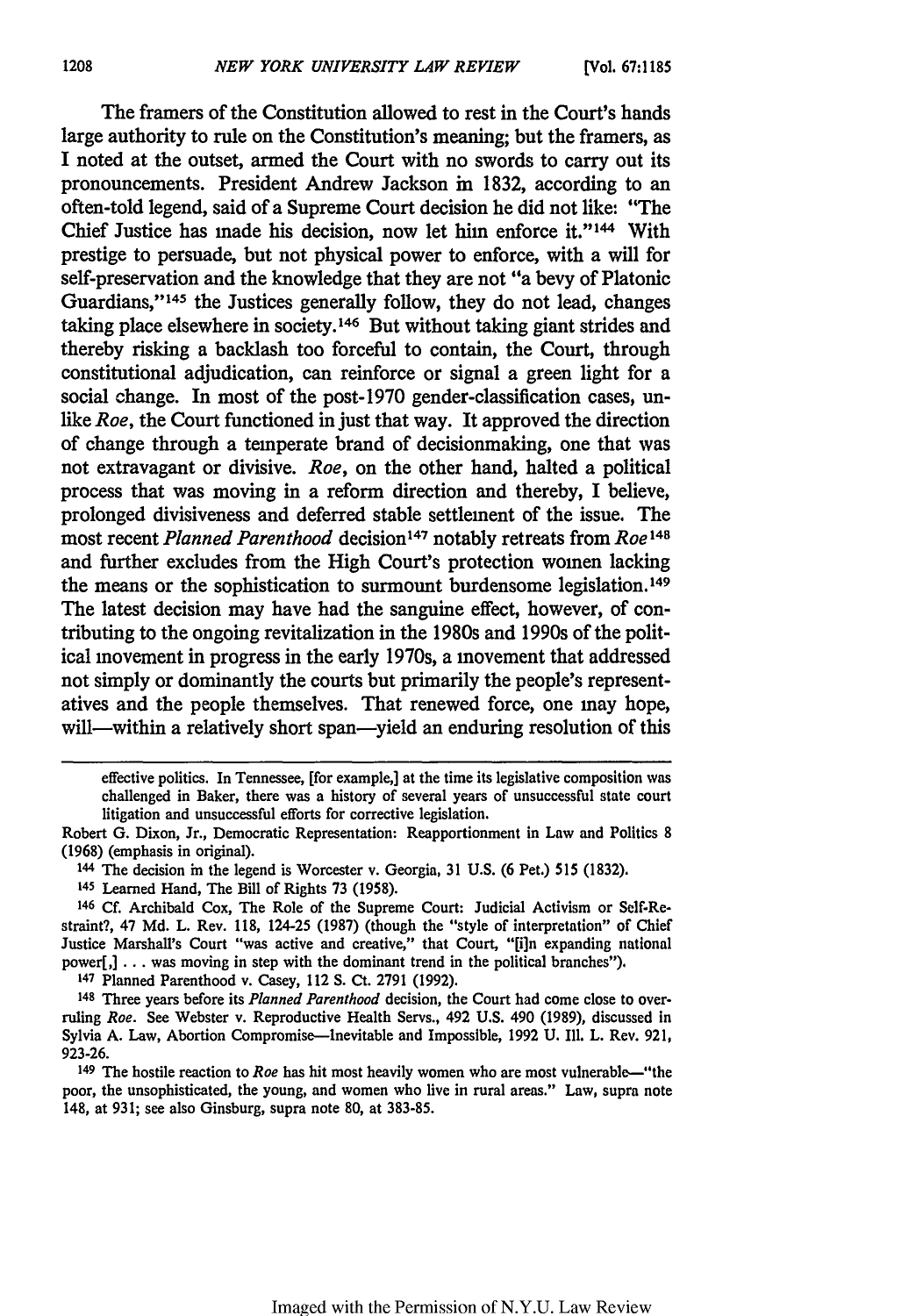The framers of the Constitution allowed to rest in the Court's hands large authority to rule on the Constitution's meaning; but the framers, as I noted at the outset, armed the Court with no swords to carry out its pronouncements. President Andrew Jackson in **1832,** according to an often-told legend, said of a Supreme Court decision he did not like: "The Chief Justice has made his decision, now let him enforce **it."<sup>144</sup>**With prestige to persuade, but not physical power to enforce, with a will for self-preservation and the knowledge that they are not "a bevy of Platonic Guardians,"<sup>145</sup> the Justices generally follow, they do not lead, changes taking place elsewhere in society. 46 But without taking giant strides and thereby risking a backlash too forceful to contain, the Court, through constitutional adjudication, can reinforce or signal a green light for a social change. In most of the post-1970 gender-classification cases, unlike *Roe,* the Court functioned in just that way. It approved the direction of change through a temperate brand of decisionmaking, one that was not extravagant or divisive. *Roe,* on the other hand, halted a political process that was moving in a reform direction and thereby, I believe, prolonged divisiveness and deferred stable settlement of the issue. The most recent *Planned Parenthood* decision<sup>147</sup> notably retreats from *Roe*<sup>148</sup> and further excludes from the High Court's protection women lacking the means or the sophistication to surmount burdensome legislation. <sup>149</sup> The latest decision may have had the sanguine effect, however, of contributing to the ongoing revitalization in the 1980s and 1990s of the political movement in progress in the early 1970s, a movement that addressed not simply or dominantly the courts but primarily the people's representatives and the people themselves. That renewed force, one may hope, will-within a relatively short span-yield an enduring resolution of this

**<sup>147</sup>**Planned Parenthood v. Casey, 112 **S.** Ct. **2791 (1992).**

**148** Three years before its *Planned Parenthood* decision, the Court had come close to overruling *Roe.* See Webster v. Reproductive Health Servs., 492 **U.S.** 490 **(1989),** discussed in Sylvia **A.** Law, Abortion Compromise-Inevitable and Impossible, **1992 U.** Ill. L. Rev. **921, 923-26.**

**<sup>149</sup>**The hostile reaction to *Roe* has hit most heavily women who are most vulnerable-"the poor, the unsophisticated, the young, and women who live in rural areas." Law, supra note 148, at **931;** see also Ginsburg, supra note **80,** at **383-85.**

effective politics. In Tennessee, [for example,] at the time its legislative composition was challenged in Baker, there was a history of several years of unsuccessful state court litigation and unsuccessful efforts for corrective legislation.

Robert **G.** Dixon, Jr., Democratic Representation: Reapportionment in Law and Politics **8 (1968)** (emphasis in original).

<sup>144</sup>The decision in the legend is Worcester v. Georgia, **31 U.S. (6** Pet.) **515 (1832).**

**<sup>145</sup>**Learned Hand, The Bill of Rights **73 (1958).**

<sup>146</sup> **Cf.** Archibald Cox, The Role of the Supreme Court: Judicial Activism or Self-Rcstraint?, 47 **Md.** L. Rev. **118,** 124-25 **(1987)** (though the "style of interpretation" of Chief Justice Marshall's Court "was active and creative," that Court, **"[i]n** expanding national power[,] **...** was moving in step with the dominant trend in the political branches").